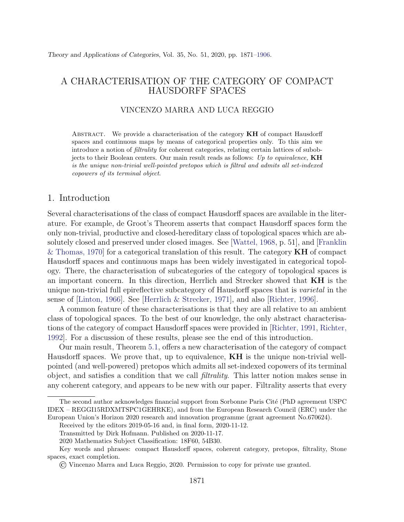# A CHARACTERISATION OF THE CATEGORY OF COMPACT HAUSDORFF SPACES

## VINCENZO MARRA AND LUCA REGGIO

ABSTRACT. We provide a characterisation of the category  $KH$  of compact Hausdorff spaces and continuous maps by means of categorical properties only. To this aim we introduce a notion of filtrality for coherent categories, relating certain lattices of subobjects to their Boolean centers. Our main result reads as follows: Up to equivalence,  $KH$ is the unique non-trivial well-pointed pretopos which is filtral and admits all set-indexed copowers of its terminal object.

#### 1. Introduction

Several characterisations of the class of compact Hausdorff spaces are available in the literature. For example, de Groot's Theorem asserts that compact Hausdorff spaces form the only non-trivial, productive and closed-hereditary class of topological spaces which are absolutely closed and preserved under closed images. See [\[Wattel, 1968,](#page-35-0) p. 51], and [\[Franklin](#page-33-1) & Thomas, 1970 for a categorical translation of this result. The category  $KH$  of compact Hausdorff spaces and continuous maps has been widely investigated in categorical topology. There, the characterisation of subcategories of the category of topological spaces is an important concern. In this direction, Herrlich and Strecker showed that KH is the unique non-trivial full epireflective subcategory of Hausdorff spaces that is *varietal* in the sense of [\[Linton, 1966\]](#page-34-0). See [\[Herrlich & Strecker, 1971\]](#page-33-2), and also [\[Richter, 1996\]](#page-35-1).

A common feature of these characterisations is that they are all relative to an ambient class of topological spaces. To the best of our knowledge, the only abstract characterisations of the category of compact Hausdorff spaces were provided in [\[Richter, 1991,](#page-34-1) [Richter,](#page-35-2) [1992\]](#page-35-2). For a discussion of these results, please see the end of this introduction.

Our main result, Theorem [5.1,](#page-15-0) offers a new characterisation of the category of compact Hausdorff spaces. We prove that, up to equivalence,  $KH$  is the unique non-trivial wellpointed (and well-powered) pretopos which admits all set-indexed copowers of its terminal object, and satisfies a condition that we call filtrality. This latter notion makes sense in any coherent category, and appears to be new with our paper. Filtrality asserts that every

The second author acknowledges financial support from Sorbonne Paris Cité (PhD agreement USPC) IDEX – REGGI15RDXMTSPC1GEHRKE), and from the European Research Council (ERC) under the European Union's Horizon 2020 research and innovation programme (grant agreement No.670624).

Received by the editors 2019-05-16 and, in final form, 2020-11-12.

Transmitted by Dirk Hofmann. Published on 2020-11-17.

<sup>2020</sup> Mathematics Subject Classification: 18F60, 54B30.

Key words and phrases: compact Hausdorff spaces, coherent category, pretopos, filtrality, Stone spaces, exact completion.

<sup>©</sup> Vincenzo Marra and Luca Reggio, 2020. Permission to copy for private use granted.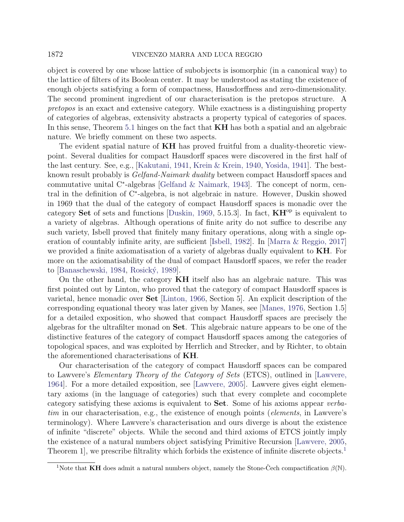# 1872 VINCENZO MARRA AND LUCA REGGIO

object is covered by one whose lattice of subobjects is isomorphic (in a canonical way) to the lattice of filters of its Boolean center. It may be understood as stating the existence of enough objects satisfying a form of compactness, Hausdorffness and zero-dimensionality. The second prominent ingredient of our characterisation is the pretopos structure. A pretopos is an exact and extensive category. While exactness is a distinguishing property of categories of algebras, extensivity abstracts a property typical of categories of spaces. In this sense, Theorem [5.1](#page-15-0) hinges on the fact that **KH** has both a spatial and an algebraic nature. We briefly comment on these two aspects.

The evident spatial nature of **KH** has proved fruitful from a duality-theoretic viewpoint. Several dualities for compact Hausdorff spaces were discovered in the first half of the last century. See, e.g., [\[Kakutani, 1941,](#page-34-2) [Krein & Krein, 1940,](#page-34-3) [Yosida, 1941\]](#page-35-3). The bestknown result probably is Gelfand-Naimark duality between compact Hausdorff spaces and commutative unital C<sup>∗</sup> -algebras [\[Gelfand & Naimark, 1943\]](#page-33-3). The concept of norm, central in the definition of C<sup>∗</sup> -algebra, is not algebraic in nature. However, Duskin showed in 1969 that the dual of the category of compact Hausdorff spaces is monadic over the category Set of sets and functions [\[Duskin, 1969,](#page-33-4) 5.15.3]. In fact,  $KH^{op}$  is equivalent to a variety of algebras. Although operations of finite arity do not suffice to describe any such variety, Isbell proved that finitely many finitary operations, along with a single operation of countably infinite arity, are sufficient [\[Isbell, 1982\]](#page-33-5). In [\[Marra & Reggio, 2017\]](#page-34-4) we provided a finite axiomatisation of a variety of algebras dually equivalent to **KH**. For more on the axiomatisability of the dual of compact Hausdorff spaces, we refer the reader to [\[Banaschewski, 1984,](#page-33-6) Rosický, 1989].

On the other hand, the category  $KH$  itself also has an algebraic nature. This was first pointed out by Linton, who proved that the category of compact Hausdorff spaces is varietal, hence monadic over Set [\[Linton, 1966,](#page-34-0) Section 5]. An explicit description of the corresponding equational theory was later given by Manes, see [\[Manes, 1976,](#page-34-5) Section 1.5] for a detailed exposition, who showed that compact Hausdorff spaces are precisely the algebras for the ultrafilter monad on Set. This algebraic nature appears to be one of the distinctive features of the category of compact Hausdorff spaces among the categories of topological spaces, and was exploited by Herrlich and Strecker, and by Richter, to obtain the aforementioned characterisations of KH.

Our characterisation of the category of compact Hausdorff spaces can be compared to Lawvere's Elementary Theory of the Category of Sets (ETCS), outlined in [\[Lawvere,](#page-34-6) [1964\]](#page-34-6). For a more detailed exposition, see [\[Lawvere, 2005\]](#page-34-7). Lawvere gives eight elementary axioms (in the language of categories) such that every complete and cocomplete category satisfying these axioms is equivalent to Set. Some of his axioms appear verbatim in our characterisation, e.g., the existence of enough points (elements, in Lawvere's terminology). Where Lawvere's characterisation and ours diverge is about the existence of infinite "discrete" objects. While the second and third axioms of ETCS jointly imply the existence of a natural numbers object satisfying Primitive Recursion [\[Lawvere, 2005,](#page-34-7) Theorem [1](#page-1-0), we prescribe filtrality which forbids the existence of infinite discrete objects.<sup>1</sup>

<span id="page-1-0"></span><sup>&</sup>lt;sup>1</sup>Note that **KH** does admit a natural numbers object, namely the Stone-Čech compactification  $\beta(\mathbb{N})$ .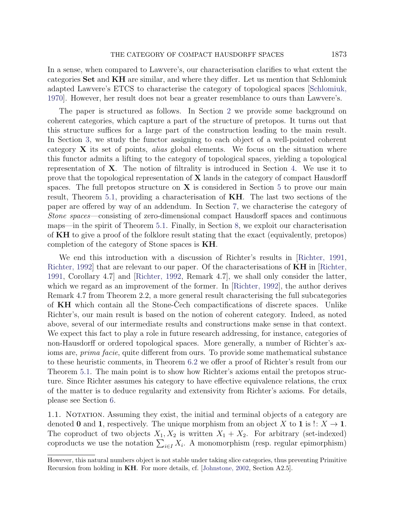In a sense, when compared to Lawvere's, our characterisation clarifies to what extent the categories Set and KH are similar, and where they differ. Let us mention that Schlomiuk adapted Lawvere's ETCS to characterise the category of topological spaces [\[Schlomiuk,](#page-35-5) [1970\]](#page-35-5). However, her result does not bear a greater resemblance to ours than Lawvere's.

The paper is structured as follows. In Section [2](#page-3-0) we provide some background on coherent categories, which capture a part of the structure of pretopos. It turns out that this structure suffices for a large part of the construction leading to the main result. In Section [3,](#page-6-0) we study the functor assigning to each object of a well-pointed coherent category  $X$  its set of points, *alias* global elements. We focus on the situation where this functor admits a lifting to the category of topological spaces, yielding a topological representation of  $X$ . The notion of filtrality is introduced in Section [4.](#page-11-0) We use it to prove that the topological representation of  $X$  lands in the category of compact Hausdorff spaces. The full pretopos structure on  $X$  is considered in Section [5](#page-15-1) to prove our main result, Theorem [5.1,](#page-15-0) providing a characterisation of KH. The last two sections of the paper are offered by way of an addendum. In Section [7,](#page-27-0) we characterise the category of Stone spaces—consisting of zero-dimensional compact Hausdorff spaces and continuous maps—in the spirit of Theorem [5.1.](#page-15-0) Finally, in Section [8,](#page-31-0) we exploit our characterisation of KH to give a proof of the folklore result stating that the exact (equivalently, pretopos) completion of the category of Stone spaces is KH.

We end this introduction with a discussion of Richter's results in [\[Richter, 1991,](#page-34-1) Richter, 1992 that are relevant to our paper. Of the characterisations of **KH** in Richter, [1991,](#page-34-1) Corollary 4.7] and [\[Richter, 1992,](#page-35-2) Remark 4.7], we shall only consider the latter, which we regard as an improvement of the former. In [\[Richter, 1992\]](#page-35-2), the author derives Remark 4.7 from Theorem 2.2, a more general result characterising the full subcategories of  $KH$  which contain all the Stone-Cech compactifications of discrete spaces. Unlike Richter's, our main result is based on the notion of coherent category. Indeed, as noted above, several of our intermediate results and constructions make sense in that context. We expect this fact to play a role in future research addressing, for instance, categories of non-Hausdorff or ordered topological spaces. More generally, a number of Richter's axioms are, prima facie, quite different from ours. To provide some mathematical substance to these heuristic comments, in Theorem [6.2](#page-21-0) we offer a proof of Richter's result from our Theorem [5.1.](#page-15-0) The main point is to show how Richter's axioms entail the pretopos structure. Since Richter assumes his category to have effective equivalence relations, the crux of the matter is to deduce regularity and extensivity from Richter's axioms. For details, please see Section [6.](#page-21-1)

1.1. NOTATION. Assuming they exist, the initial and terminal objects of a category are denoted 0 and 1, respectively. The unique morphism from an object X to 1 is  $\colon X \to \mathbf{1}$ . The coproduct of two objects  $X_1, X_2$  is written  $X_1 + X_2$ . For arbitrary (set-indexed) coproducts we use the notation  $\sum_{i\in I} X_i$ . A monomorphism (resp. regular epimorphism)

However, this natural numbers object is not stable under taking slice categories, thus preventing Primitive Recursion from holding in KH. For more details, cf. [\[Johnstone, 2002,](#page-34-8) Section A2.5].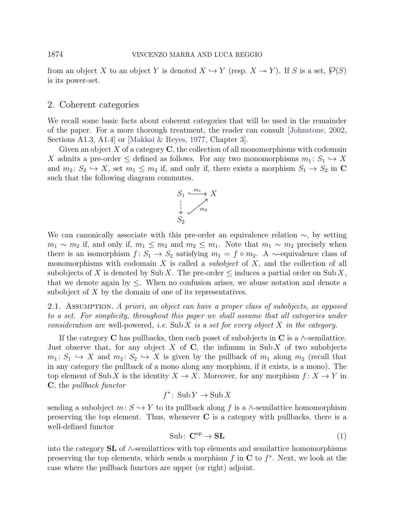from an object X to an object Y is denoted  $X \hookrightarrow Y$  (resp.  $X \to Y$ ). If S is a set,  $\mathcal{O}(S)$ is its power-set.

## <span id="page-3-0"></span>2. Coherent categories

We recall some basic facts about coherent categories that will be used in the remainder of the paper. For a more thorough treatment, the reader can consult [\[Johnstone, 2002,](#page-34-8) Sections A1.3, A1.4] or [\[Makkai & Reyes, 1977,](#page-34-9) Chapter 3].

Given an object X of a category  $\bf{C}$ , the collection of all monomorphisms with codomain X admits a pre-order  $\leq$  defined as follows. For any two monomorphisms  $m_1: S_1 \hookrightarrow X$ and  $m_2: S_2 \hookrightarrow X$ , set  $m_1 \leq m_2$  if, and only if, there exists a morphism  $S_1 \to S_2$  in C such that the following diagram commutes.

$$
S_1 \xrightarrow{m_1} X
$$
  
\n
$$
\downarrow \qquad \qquad \nearrow
$$
  
\n
$$
S_2
$$

We can canonically associate with this pre-order an equivalence relation  $\sim$ , by setting  $m_1 \sim m_2$  if, and only if,  $m_1 \leq m_2$  and  $m_2 \leq m_1$ . Note that  $m_1 \sim m_2$  precisely when there is an isomorphism  $f: S_1 \to S_2$  satisfying  $m_1 = f \circ m_2$ . A ~-equivalence class of monomorphisms with codomain X is called a *subobject* of  $X$ , and the collection of all subobjects of X is denoted by Sub X. The pre-order  $\leq$  induces a partial order on Sub X, that we denote again by  $\leq$ . When no confusion arises, we abuse notation and denote a subobject of X by the domain of one of its representatives.

2.1. ASSUMPTION. A priori, an object can have a proper class of subobjects, as opposed to a set. For simplicity, throughout this paper we shall assume that all categories under consideration are well-powered, i.e. Sub X is a set for every object X in the category.

If the category C has pullbacks, then each poset of subobjects in C is a  $\wedge$ -semilattice. Just observe that, for any object  $X$  of  $C$ , the infimum in Sub  $X$  of two subobjects  $m_1: S_1 \hookrightarrow X$  and  $m_2: S_2 \hookrightarrow X$  is given by the pullback of  $m_1$  along  $m_2$  (recall that in any category the pullback of a mono along any morphism, if it exists, is a mono). The top element of Sub X is the identity  $X \to X$ . Moreover, for any morphism  $f: X \to Y$  in C, the pullback functor

$$
f^* \colon \operatorname{Sub} Y \to \operatorname{Sub} X
$$

sending a subobject  $m: S \hookrightarrow Y$  to its pullback along f is a ∧-semilattice homomorphism preserving the top element. Thus, whenever  $C$  is a category with pullbacks, there is a well-defined functor

<span id="page-3-1"></span>
$$
Sub: \mathbf{C}^{\mathrm{op}} \to \mathbf{SL} \tag{1}
$$

into the category  $SL$  of  $\wedge$ -semilattices with top elements and semilattice homomorphisms preserving the top elements, which sends a morphism  $f$  in  $C$  to  $f^*$ . Next, we look at the case where the pullback functors are upper (or right) adjoint.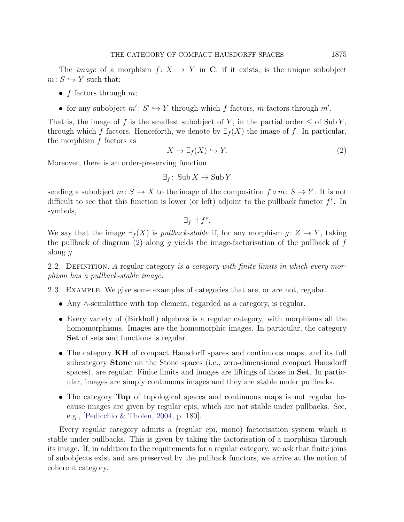The *image* of a morphism  $f: X \to Y$  in C, if it exists, is the unique subobject  $m: S \hookrightarrow Y$  such that:

- $f$  factors through  $m$ ;
- for any subobject  $m' : S' \hookrightarrow Y$  through which f factors, m factors through m'.

That is, the image of f is the smallest subobject of Y, in the partial order  $\leq$  of SubY, through which f factors. Henceforth, we denote by  $\exists f(X)$  the image of f. In particular, the morphism  $f$  factors as

<span id="page-4-0"></span>
$$
X \to \exists_f(X) \hookrightarrow Y. \tag{2}
$$

Moreover, there is an order-preserving function

$$
\exists_f \colon \operatorname{Sub} X \to \operatorname{Sub} Y
$$

sending a subobject  $m: S \hookrightarrow X$  to the image of the composition  $f \circ m: S \to Y$ . It is not difficult to see that this function is lower (or left) adjoint to the pullback functor  $f^*$ . In symbols,

$$
\exists_f \dashv f^*.
$$

We say that the image  $\exists f(X)$  is *pullback-stable* if, for any morphism  $q: Z \to Y$ , taking the pullback of diagram [\(2\)](#page-4-0) along g yields the image-factorisation of the pullback of  $f$ along g.

2.2. DEFINITION. A regular category is a category with finite limits in which every morphism has a pullback-stable image.

2.3. Example. We give some examples of categories that are, or are not, regular.

- Any ∧-semilattice with top element, regarded as a category, is regular.
- Every variety of (Birkhoff) algebras is a regular category, with morphisms all the homomorphisms. Images are the homomorphic images. In particular, the category Set of sets and functions is regular.
- The category KH of compact Hausdorff spaces and continuous maps, and its full subcategory Stone on the Stone spaces (i.e., zero-dimensional compact Hausdorff spaces), are regular. Finite limits and images are liftings of those in Set. In particular, images are simply continuous images and they are stable under pullbacks.
- The category Top of topological spaces and continuous maps is not regular because images are given by regular epis, which are not stable under pullbacks. See, e.g., [\[Pedicchio & Tholen, 2004,](#page-34-10) p. 180].

Every regular category admits a (regular epi, mono) factorisation system which is stable under pullbacks. This is given by taking the factorisation of a morphism through its image. If, in addition to the requirements for a regular category, we ask that finite joins of subobjects exist and are preserved by the pullback functors, we arrive at the notion of coherent category.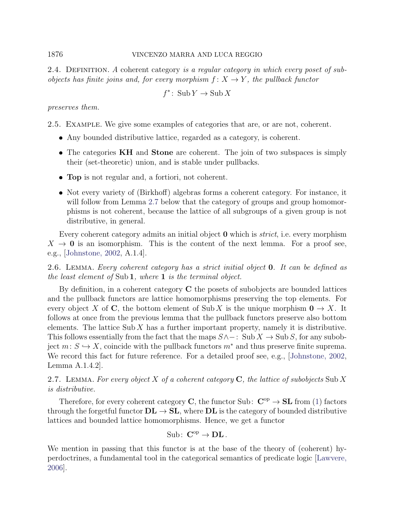## 1876 VINCENZO MARRA AND LUCA REGGIO

2.4. DEFINITION. A coherent category is a regular category in which every poset of subobjects has finite joins and, for every morphism  $f: X \to Y$ , the pullback functor

$$
f^* \colon \operatorname{Sub} Y \to \operatorname{Sub} X
$$

preserves them.

2.5. Example. We give some examples of categories that are, or are not, coherent.

- Any bounded distributive lattice, regarded as a category, is coherent.
- The categories **KH** and **Stone** are coherent. The join of two subspaces is simply their (set-theoretic) union, and is stable under pullbacks.
- Top is not regular and, a fortiori, not coherent.
- Not every variety of (Birkhoff) algebras forms a coherent category. For instance, it will follow from Lemma [2.7](#page-5-0) below that the category of groups and group homomorphisms is not coherent, because the lattice of all subgroups of a given group is not distributive, in general.

Every coherent category admits an initial object **0** which is *strict*, i.e. every morphism  $X \to 0$  is an isomorphism. This is the content of the next lemma. For a proof see, e.g., [\[Johnstone, 2002,](#page-34-8) A.1.4].

<span id="page-5-1"></span>2.6. Lemma. Every coherent category has a strict initial object 0. It can be defined as the least element of Sub 1, where 1 is the terminal object.

By definition, in a coherent category  $C$  the posets of subobjects are bounded lattices and the pullback functors are lattice homomorphisms preserving the top elements. For every object X of C, the bottom element of Sub X is the unique morphism  $0 \to X$ . It follows at once from the previous lemma that the pullback functors preserve also bottom elements. The lattice Sub  $X$  has a further important property, namely it is distributive. This follows essentially from the fact that the maps  $S \wedge -$ : Sub  $X \rightarrow S$ ub S, for any subobject  $m: S \hookrightarrow X$ , coincide with the pullback functors  $m^*$  and thus preserve finite suprema. We record this fact for future reference. For a detailed proof see, e.g., [\[Johnstone, 2002,](#page-34-8) Lemma A.1.4.2].

<span id="page-5-0"></span>2.7. LEMMA. For every object X of a coherent category  $\mathbf C$ , the lattice of subobjects Sub X is distributive.

Therefore, for every coherent category **C**, the functor Sub:  $\mathbf{C}^{\text{op}} \to \mathbf{SL}$  from [\(1\)](#page-3-1) factors through the forgetful functor  $\mathbf{DL} \to \mathbf{SL}$ , where  $\mathbf{DL}$  is the category of bounded distributive lattices and bounded lattice homomorphisms. Hence, we get a functor

$$
\mathrm{Sub}\colon\thinspace \mathbf{C}^\mathrm{op}\to \mathbf{DL}\,.
$$

We mention in passing that this functor is at the base of the theory of (coherent) hyperdoctrines, a fundamental tool in the categorical semantics of predicate logic [\[Lawvere,](#page-34-11) [2006\]](#page-34-11).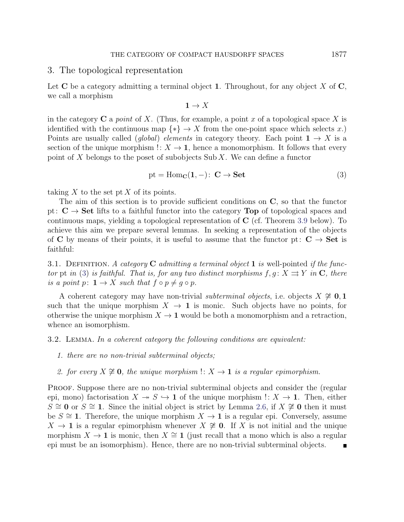#### <span id="page-6-0"></span>3. The topological representation

Let  $C$  be a category admitting a terminal object 1. Throughout, for any object X of  $C$ , we call a morphism

<span id="page-6-1"></span>
$$
1 \to X
$$

in the category  $C$  a *point* of X. (Thus, for example, a point x of a topological space X is identified with the continuous map  $\{*\} \to X$  from the one-point space which selects x.) Points are usually called (global) elements in category theory. Each point  $1 \rightarrow X$  is a section of the unique morphism  $\cdot : X \to \mathbf{1}$ , hence a monomorphism. It follows that every point of X belongs to the poset of subobjects Sub X. We can define a functor

$$
pt = Hom_{\mathbf{C}}(1, -): \mathbf{C} \to \mathbf{Set} \tag{3}
$$

taking  $X$  to the set pt  $X$  of its points.

The aim of this section is to provide sufficient conditions on C, so that the functor pt:  $C \rightarrow$  Set lifts to a faithful functor into the category Top of topological spaces and continuous maps, yielding a topological representation of C (cf. Theorem [3.9](#page-10-0) below). To achieve this aim we prepare several lemmas. In seeking a representation of the objects of C by means of their points, it is useful to assume that the functor pt:  $C \rightarrow$  Set is faithful:

3.1. DEFINITION. A category C admitting a terminal object 1 is well-pointed if the func-tor pt in [\(3\)](#page-6-1) is faithful. That is, for any two distinct morphisms  $f, g: X \rightrightarrows Y$  in C, there is a point p:  $1 \rightarrow X$  such that  $f \circ p \neq q \circ p$ .

A coherent category may have non-trivial subterminal objects, i.e. objects  $X \not\cong 0, 1$ such that the unique morphism  $X \to \mathbf{1}$  is monic. Such objects have no points, for otherwise the unique morphism  $X \to \mathbf{1}$  would be both a monomorphism and a retraction, whence an isomorphism.

<span id="page-6-2"></span>3.2. Lemma. In a coherent category the following conditions are equivalent:

- 1. there are no non-trivial subterminal objects;
- 2. for every  $X \not\cong \mathbf{0}$ , the unique morphism  $\colon X \to \mathbf{1}$  is a regular epimorphism.

PROOF. Suppose there are no non-trivial subterminal objects and consider the (regular epi, mono) factorisation  $X \to S \hookrightarrow \mathbf{1}$  of the unique morphism  $\cdot : X \to \mathbf{1}$ . Then, either  $S \cong \mathbf{0}$  or  $S \cong \mathbf{1}$ . Since the initial object is strict by Lemma [2.6,](#page-5-1) if  $X \not\cong \mathbf{0}$  then it must be  $S \cong \mathbf{1}$ . Therefore, the unique morphism  $X \to \mathbf{1}$  is a regular epi. Conversely, assume  $X \to \mathbf{1}$  is a regular epimorphism whenever  $X \not\cong \mathbf{0}$ . If X is not initial and the unique morphism  $X \to \mathbf{1}$  is monic, then  $X \cong \mathbf{1}$  (just recall that a mono which is also a regular epi must be an isomorphism). Hence, there are no non-trivial subterminal objects.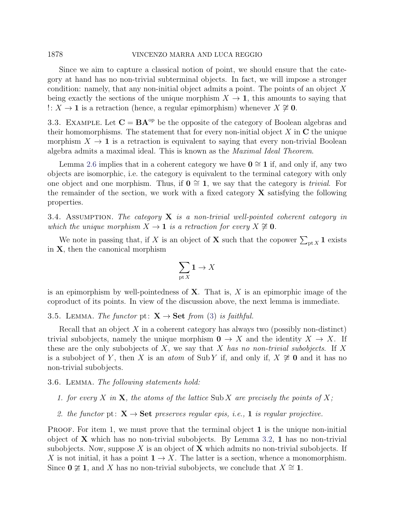## 1878 VINCENZO MARRA AND LUCA REGGIO

Since we aim to capture a classical notion of point, we should ensure that the category at hand has no non-trivial subterminal objects. In fact, we will impose a stronger condition: namely, that any non-initial object admits a point. The points of an object X being exactly the sections of the unique morphism  $X \to \mathbf{1}$ , this amounts to saying that !:  $X \rightarrow 1$  is a retraction (hence, a regular epimorphism) whenever  $X \not\cong 0$ .

3.3. EXAMPLE. Let  $C = BA^{\text{op}}$  be the opposite of the category of Boolean algebras and their homomorphisms. The statement that for every non-initial object  $X$  in  $C$  the unique morphism  $X \to \mathbf{1}$  is a retraction is equivalent to saying that every non-trivial Boolean algebra admits a maximal ideal. This is known as the Maximal Ideal Theorem.

Lemma [2.6](#page-5-1) implies that in a coherent category we have  $0 \approx 1$  if, and only if, any two objects are isomorphic, i.e. the category is equivalent to the terminal category with only one object and one morphism. Thus, if  $0 \cong 1$ , we say that the category is *trivial*. For the remainder of the section, we work with a fixed category  $\bf{X}$  satisfying the following properties.

<span id="page-7-2"></span>3.4. ASSUMPTION. The category  $X$  is a non-trivial well-pointed coherent category in which the unique morphism  $X \to \mathbf{1}$  is a retraction for every  $X \not\cong \mathbf{0}$ .

We note in passing that, if X is an object of **X** such that the copower  $\sum_{\text{pt }X} 1$  exists in X, then the canonical morphism

$$
\sum_{\text{pt } X} \mathbf{1} \to X
$$

is an epimorphism by well-pointedness of  $X$ . That is,  $X$  is an epimorphic image of the coproduct of its points. In view of the discussion above, the next lemma is immediate.

#### <span id="page-7-1"></span>3.5. LEMMA. The functor pt:  $X \rightarrow Set$  from [\(3\)](#page-6-1) is faithful.

Recall that an object  $X$  in a coherent category has always two (possibly non-distinct) trivial subobjects, namely the unique morphism  $0 \to X$  and the identity  $X \to X$ . If these are the only subobjects of X, we say that X has no non-trivial subobjects. If X is a subobject of Y, then X is an *atom* of Sub Y if, and only if,  $X \not\cong \mathbf{0}$  and it has no non-trivial subobjects.

#### <span id="page-7-0"></span>3.6. Lemma. The following statements hold:

- 1. for every X in X, the atoms of the lattice Sub X are precisely the points of X;
- 2. the functor pt:  $X \rightarrow Set$  preserves regular epis, i.e., 1 is regular projective.

**PROOF.** For item 1, we must prove that the terminal object  $\bf{1}$  is the unique non-initial object of  $X$  which has no non-trivial subobjects. By Lemma [3.2,](#page-6-2) 1 has no non-trivial subobjects. Now, suppose X is an object of  $X$  which admits no non-trivial subobjects. If X is not initial, it has a point  $1 \rightarrow X$ . The latter is a section, whence a monomorphism. Since  $0 \not\cong 1$ , and X has no non-trivial subobjects, we conclude that  $X \cong 1$ .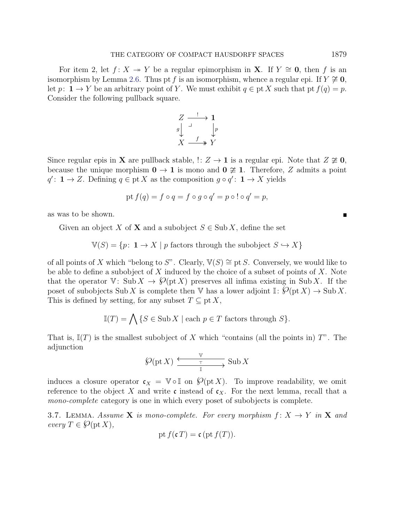For item 2, let  $f: X \rightarrow Y$  be a regular epimorphism in **X**. If  $Y \cong 0$ , then f is an isomorphism by Lemma [2.6.](#page-5-1) Thus pt f is an isomorphism, whence a regular epi. If  $Y \not\cong 0$ , let p:  $\mathbf{1} \to Y$  be an arbitrary point of Y. We must exhibit  $q \in \text{pt } X$  such that  $\text{pt } f(q) = p$ . Consider the following pullback square.

$$
\begin{array}{ccc}\nZ & \xrightarrow{\cdot} & \mathbf{1} \\
g & \downarrow & \downarrow p \\
X & \xrightarrow{f} & Y\n\end{array}
$$

Since regular epis in **X** are pullback stable,  $\colon Z \to \mathbf{1}$  is a regular epi. Note that  $Z \not\cong \mathbf{0}$ , because the unique morphism  $0 \to 1$  is mono and  $0 \not\cong 1$ . Therefore, Z admits a point  $q' : \mathbf{1} \to Z$ . Defining  $q \in pt X$  as the composition  $q \circ q' : \mathbf{1} \to X$  yields

$$
pt f(q) = f \circ q = f \circ g \circ q' = p \circ ! \circ q' = p,
$$

as was to be shown.

Given an object X of X and a subobject  $S \in \text{Sub } X$ , define the set

 $\mathbb{V}(S) = \{p: \mathbf{1} \to X \mid p \text{ factors through the subobject } S \hookrightarrow X\}$ 

of all points of X which "belong to S". Clearly,  $\mathbb{V}(S) \cong \text{pt } S$ . Conversely, we would like to be able to define a subobject of  $X$  induced by the choice of a subset of points of  $X$ . Note that the operator V: Sub  $X \to \mathcal{O}(\text{pt } X)$  preserves all infima existing in Sub X. If the poset of subobjects Sub X is complete then V has a lower adjoint  $\mathbb{I}: \mathcal{O}(\text{pt } X) \to \text{Sub } X$ . This is defined by setting, for any subset  $T \subseteq pt X$ ,

$$
\mathbb{I}(T) = \bigwedge \{ S \in \text{Sub } X \mid \text{each } p \in T \text{ factors through } S \}.
$$

That is,  $\mathbb{I}(T)$  is the smallest subobject of X which "contains (all the points in) T". The adjunction

$$
\bigotimes(\text{pt } X)\xrightarrow{\begin{array}{c}\n\vee \\
\hline \text{T}\n\end{array}}\text{Sub } X
$$

induces a closure operator  $c_X = V \circ \mathbb{I}$  on  $\mathcal{O}(pt X)$ . To improve readability, we omit reference to the object X and write c instead of  $c<sub>X</sub>$ . For the next lemma, recall that a mono-complete category is one in which every poset of subobjects is complete.

<span id="page-8-0"></span>3.7. LEMMA. Assume **X** is mono-complete. For every morphism  $f: X \rightarrow Y$  in **X** and every  $T \in \mathcal{O}(\text{pt } X)$ ,

$$
\operatorname{pt} f(\mathfrak{c} T) = \mathfrak{c} (\operatorname{pt} f(T)).
$$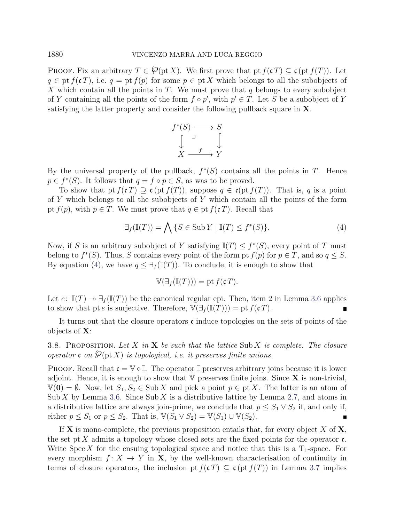PROOF. Fix an arbitrary  $T \in \mathcal{O}(\text{pt } X)$ . We first prove that pt  $f(\mathfrak{c} T) \subseteq \mathfrak{c}(\text{pt } f(T))$ . Let  $q \in \text{pt } f(\mathfrak{c} T)$ , i.e.  $q = \text{pt } f(p)$  for some  $p \in \text{pt } X$  which belongs to all the subobjects of X which contain all the points in T. We must prove that  $q$  belongs to every subobject of Y containing all the points of the form  $f \circ p'$ , with  $p' \in T$ . Let S be a subobject of Y satisfying the latter property and consider the following pullback square in X.



By the universal property of the pullback,  $f^*(S)$  contains all the points in T. Hence  $p \in f^*(S)$ . It follows that  $q = f \circ p \in S$ , as was to be proved.

To show that pt  $f(cT) \supseteq c(\text{pt } f(T))$ , suppose  $q \in c(\text{pt } f(T))$ . That is, q is a point of Y which belongs to all the subobjects of Y which contain all the points of the form pt  $f(p)$ , with  $p \in T$ . We must prove that  $q \in pt$   $f(cT)$ . Recall that

$$
\exists_f (\mathbb{I}(T)) = \bigwedge \{ S \in \text{Sub } Y \mid \mathbb{I}(T) \le f^*(S) \}. \tag{4}
$$

Now, if S is an arbitrary subobject of Y satisfying  $\mathbb{I}(T) \leq f^*(S)$ , every point of T must belong to  $f^*(S)$ . Thus, S contains every point of the form pt  $f(p)$  for  $p \in T$ , and so  $q \leq S$ . By equation [\(4\)](#page-9-0), we have  $q \leq \exists f$  (I(T)). To conclude, it is enough to show that

<span id="page-9-0"></span>
$$
\mathbb{V}(\exists_f(\mathbb{I}(T))) = \text{pt } f(\mathfrak{c}\,T).
$$

Let  $e: \mathbb{I}(T) \to \exists f(\mathbb{I}(T))$  be the canonical regular epi. Then, item 2 in Lemma [3.6](#page-7-0) applies to show that pt e is surjective. Therefore,  $\mathbb{V}(\exists f(\mathbb{I}(T))) =$  pt  $f(\mathfrak{c} T)$ .

It turns out that the closure operators  $\mathfrak c$  induce topologies on the sets of points of the objects of X:

<span id="page-9-1"></span>3.8. PROPOSITION. Let X in X be such that the lattice Sub X is complete. The closure operator c on  $\mathcal{O}(\text{pt } X)$  is topological, i.e. it preserves finite unions.

PROOF. Recall that  $\mathfrak{c} = \mathbb{V} \circ \mathbb{I}$ . The operator  $\mathbb{I}$  preserves arbitrary joins because it is lower adjoint. Hence, it is enough to show that  $V$  preserves finite joins. Since  $X$  is non-trivial,  $V(0) = \emptyset$ . Now, let  $S_1, S_2 \in Sub X$  and pick a point  $p \in pt X$ . The latter is an atom of Sub X by Lemma [3.6.](#page-7-0) Since Sub X is a distributive lattice by Lemma [2.7,](#page-5-0) and atoms in a distributive lattice are always join-prime, we conclude that  $p \leq S_1 \vee S_2$  if, and only if, either  $p \leq S_1$  or  $p \leq S_2$ . That is,  $\mathbb{V}(S_1 \vee S_2) = \mathbb{V}(S_1) \cup \mathbb{V}(S_2)$ .  $\blacksquare$ 

If **X** is mono-complete, the previous proposition entails that, for every object X of  $\mathbf{X}$ , the set pt X admits a topology whose closed sets are the fixed points for the operator  $\mathfrak{c}$ . Write Spec X for the ensuing topological space and notice that this is a  $T_1$ -space. For every morphism  $f: X \to Y$  in **X**, by the well-known characterisation of continuity in terms of closure operators, the inclusion pt  $f(cT) \subseteq c(pt f(T))$  in Lemma [3.7](#page-8-0) implies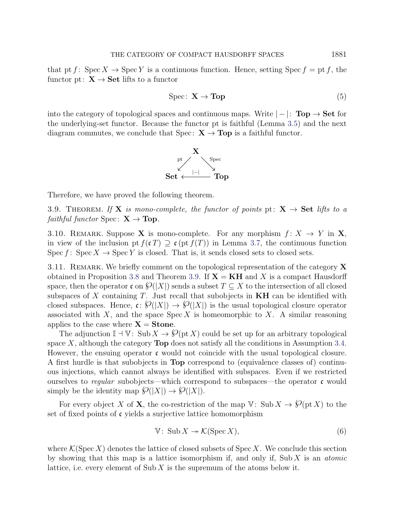that pt f: Spec  $X \to \text{Spec } Y$  is a continuous function. Hence, setting Spec  $f = \text{pt } f$ , the functor pt:  $X \rightarrow Set$  lifts to a functor

<span id="page-10-2"></span>
$$
Spec: \mathbf{X} \to \mathbf{Top} \tag{5}
$$

into the category of topological spaces and continuous maps. Write  $|-|: \text{Top} \rightarrow \text{Set}$  for the underlying-set functor. Because the functor pt is faithful (Lemma [3.5\)](#page-7-1) and the next diagram commutes, we conclude that Spec:  $X \rightarrow Top$  is a faithful functor.



Therefore, we have proved the following theorem.

<span id="page-10-0"></span>3.9. THEOREM. If **X** is mono-complete, the functor of points pt:  $X \rightarrow$  Set lifts to a *faithful functor* Spec:  $X \rightarrow Top$ .

<span id="page-10-3"></span>3.10. REMARK. Suppose X is mono-complete. For any morphism  $f: X \to Y$  in X, in view of the inclusion pt  $f(cT) \supseteq c(\text{pt } f(T))$  in Lemma [3.7,](#page-8-0) the continuous function Spec f: Spec  $X \to \text{Spec } Y$  is closed. That is, it sends closed sets to closed sets.

3.11. REMARK. We briefly comment on the topological representation of the category  $\bf{X}$ obtained in Proposition [3.8](#page-9-1) and Theorem [3.9.](#page-10-0) If  $X = KH$  and X is a compact Hausdorff space, then the operator c on  $\mathcal{O}(|X|)$  sends a subset  $T \subseteq X$  to the intersection of all closed subspaces of  $X$  containing  $T$ . Just recall that subobjects in  $KH$  can be identified with closed subspaces. Hence,  $\mathfrak{c} : \mathcal{O}(|X|) \to \mathcal{O}(|X|)$  is the usual topological closure operator associated with  $X$ , and the space  $Spec X$  is homeomorphic to  $X$ . A similar reasoning applies to the case where  $X =$  Stone.

The adjunction  $\mathbb{I} \dashv \mathbb{V}$ : Sub  $X \to \mathcal{O}(\text{pt } X)$  could be set up for an arbitrary topological space  $X$ , although the category **Top** does not satisfy all the conditions in Assumption [3.4.](#page-7-2) However, the ensuing operator  $\mathfrak c$  would not coincide with the usual topological closure. A first hurdle is that subobjects in Top correspond to (equivalence classes of) continuous injections, which cannot always be identified with subspaces. Even if we restricted ourselves to regular subobjects—which correspond to subspaces—the operator  $\mathfrak{c}$  would simply be the identity map  $\mathcal{O}(|X|) \to \mathcal{O}(|X|)$ .

For every object X of X, the co-restriction of the map  $V: Sub X \to \mathcal{O}(pt X)$  to the set of fixed points of  $\mathfrak c$  yields a surjective lattice homomorphism

<span id="page-10-1"></span>
$$
\mathbb{V}: \operatorname{Sub} X \to \mathcal{K}(\operatorname{Spec} X),\tag{6}
$$

where  $\mathcal{K}(\operatorname{Spec} X)$  denotes the lattice of closed subsets of  $\operatorname{Spec} X$ . We conclude this section by showing that this map is a lattice isomorphism if, and only if, Sub  $X$  is an *atomic* lattice, i.e. every element of Sub  $X$  is the supremum of the atoms below it.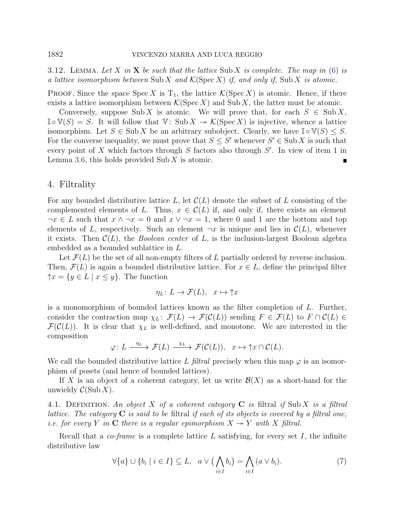<span id="page-11-1"></span>3.12. LEMMA. Let X in X be such that the lattice Sub X is complete. The map in [\(6\)](#page-10-1) is a lattice isomorphism between Sub X and  $\mathcal{K}(\mathrm{Spec}\,X)$  if, and only if, Sub X is atomic.

**PROOF.** Since the space Spec X is  $T_1$ , the lattice  $\mathcal{K}(\text{Spec } X)$  is atomic. Hence, if there exists a lattice isomorphism between  $\mathcal{K}(\text{Spec } X)$  and Sub X, the latter must be atomic.

Conversely, suppose Sub X is atomic. We will prove that, for each  $S \in Sub X$ ,  $\mathbb{I} \circ \mathbb{V}(S) = S$ . It will follow that  $\mathbb{V}: \text{Sub } X \to \mathcal{K}(\text{Spec } X)$  is injective, whence a lattice isomorphism. Let  $S \in Sub X$  be an arbitrary subobject. Clearly, we have  $\mathbb{I} \circ \mathbb{V}(S) \leq S$ . For the converse inequality, we must prove that  $S \leq S'$  whenever  $S' \in \text{Sub } X$  is such that every point of X which factors through  $S$  factors also through  $S'$ . In view of item 1 in Lemma [3.6,](#page-7-0) this holds provided  $\text{Sub } X$  is atomic.

## <span id="page-11-0"></span>4. Filtrality

For any bounded distributive lattice L, let  $\mathcal{C}(L)$  denote the subset of L consisting of the complemented elements of L. Thus,  $x \in \mathcal{C}(L)$  if, and only if, there exists an element  $\neg x \in L$  such that  $x \wedge \neg x = 0$  and  $x \vee \neg x = 1$ , where 0 and 1 are the bottom and top elements of L, respectively. Such an element  $\neg x$  is unique and lies in  $\mathcal{C}(L)$ , whenever it exists. Then  $\mathcal{C}(L)$ , the *Boolean center* of L, is the inclusion-largest Boolean algebra embedded as a bounded sublattice in L.

Let  $\mathcal{F}(L)$  be the set of all non-empty filters of L partially ordered by reverse inclusion. Then,  $\mathcal{F}(L)$  is again a bounded distributive lattice. For  $x \in L$ , define the principal filter  $\uparrow x = \{y \in L \mid x \leq y\}.$  The function

$$
\eta_L \colon L \to \mathcal{F}(L), \quad x \mapsto \uparrow x
$$

is a monomorphism of bounded lattices known as the filter completion of  $L$ . Further, consider the contraction map  $\chi_L: \mathcal{F}(L) \to \mathcal{F}(\mathcal{C}(L))$  sending  $F \in \mathcal{F}(L)$  to  $F \cap \mathcal{C}(L) \in$  $\mathcal{F}(\mathcal{C}(L))$ . It is clear that  $\chi_L$  is well-defined, and monotone. We are interested in the composition

$$
\varphi\colon L \xrightarrow{\eta_L} \mathcal{F}(L) \xrightarrow{\chi_L} \mathcal{F}(\mathcal{C}(L)), \quad x \mapsto \uparrow x \cap \mathcal{C}(L).
$$

We call the bounded distributive lattice L filtral precisely when this map  $\varphi$  is an isomorphism of posets (and hence of bounded lattices).

If X is an object of a coherent category, let us write  $\mathcal{B}(X)$  as a short-hand for the unwieldy  $C(\text{Sub } X)$ .

4.1. DEFINITION. An object X of a coherent category  $C$  is filtral if Sub X is a filtral lattice. The category  $C$  is said to be filtral if each of its objects is covered by a filtral one, *i.e.* for every Y in C there is a regular epimorphism  $X \rightarrow Y$  with X filtral.

Recall that a *co-frame* is a complete lattice L satisfying, for every set I, the infinite distributive law

<span id="page-11-2"></span>
$$
\forall \{a\} \cup \{b_i \mid i \in I\} \subseteq L, \quad a \vee \big(\bigwedge_{i \in I} b_i\big) = \bigwedge_{i \in I} (a \vee b_i). \tag{7}
$$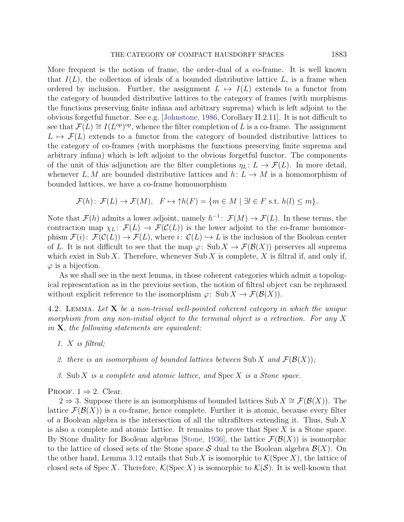More frequent is the notion of frame, the order-dual of a co-frame. It is well known that  $I(L)$ , the collection of ideals of a bounded distributive lattice  $L$ , is a frame when ordered by inclusion. Further, the assignment  $L \mapsto I(L)$  extends to a functor from the category of bounded distributive lattices to the category of frames (with morphisms the functions preserving finite infima and arbitrary suprema) which is left adjoint to the obvious forgetful functor. See e.g. [\[Johnstone, 1986,](#page-33-7) Corollary II.2.11]. It is not difficult to see that  $\mathcal{F}(L) \cong I(L^{\text{op}})^{\text{op}}$ , whence the filter completion of L is a co-frame. The assignment  $L \mapsto \mathcal{F}(L)$  extends to a functor from the category of bounded distributive lattices to the category of co-frames (with morphisms the functions preserving finite suprema and arbitrary infima) which is left adjoint to the obvious forgetful functor. The components of the unit of this adjunction are the filter completions  $\eta_L: L \to \mathcal{F}(L)$ . In more detail, whenever L, M are bounded distributive lattices and  $h: L \to M$  is a homomorphism of bounded lattices, we have a co-frame homomorphism

$$
\mathcal{F}(h): \ \mathcal{F}(L) \to \mathcal{F}(M), \quad F \mapsto \uparrow h(F) = \{ m \in M \mid \exists l \in F \text{ s.t. } h(l) \le m \}.
$$

Note that  $\mathcal{F}(h)$  admits a lower adjoint, namely  $h^{-1}$ :  $\mathcal{F}(M) \to \mathcal{F}(L)$ . In these terms, the contraction map  $\chi_L: \mathcal{F}(L) \to \mathcal{F}(\mathcal{C}(L))$  is the lower adjoint to the co-frame homomorphism  $\mathcal{F}(i): \mathcal{F}(\mathcal{C}(L)) \to \mathcal{F}(L)$ , where  $i: \mathcal{C}(L) \to L$  is the inclusion of the Boolean center of L. It is not difficult to see that the map  $\varphi: \text{Sub } X \to \mathcal{F}(\mathcal{B}(X))$  preserves all suprema which exist in Sub X. Therefore, whenever  $\text{Sub } X$  is complete, X is filtral if, and only if,  $\varphi$  is a bijection.

As we shall see in the next lemma, in those coherent categories which admit a topological representation as in the previous section, the notion of filtral object can be rephrased without explicit reference to the isomorphism  $\varphi: \text{Sub } X \to \mathcal{F}(\mathcal{B}(X)).$ 

<span id="page-12-0"></span>4.2. LEMMA. Let  $X$  be a non-trivial well-pointed coherent category in which the unique morphism from any non-initial object to the terminal object is a retraction. For any  $X$ in  $X$ , the following statements are equivalent:

- 1.  $X$  is filtral;
- 2. there is an isomorphism of bounded lattices between Sub X and  $\mathcal{F}(\mathcal{B}(X))$ ;
- 3. Sub  $X$  is a complete and atomic lattice, and  $Spec X$  is a Stone space.

PROOF.  $1 \Rightarrow 2$ . Clear.

2  $\Rightarrow$  3. Suppose there is an isomorphisms of bounded lattices Sub  $X \cong \mathcal{F}(\mathcal{B}(X))$ . The lattice  $\mathcal{F}(\mathcal{B}(X))$  is a co-frame, hence complete. Further it is atomic, because every filter of a Boolean algebra is the intersection of all the ultrafilters extending it. Thus, Sub  $X$ is also a complete and atomic lattice. It remains to prove that  $Spec X$  is a Stone space. By Stone duality for Boolean algebras [\[Stone, 1936\]](#page-35-6), the lattice  $\mathcal{F}(\mathcal{B}(X))$  is isomorphic to the lattice of closed sets of the Stone space S dual to the Boolean algebra  $\mathcal{B}(X)$ . On the other hand, Lemma [3.12](#page-11-1) entails that Sub X is isomorphic to  $\mathcal{K}(\text{Spec } X)$ , the lattice of closed sets of Spec X. Therefore,  $\mathcal{K}(\text{Spec } X)$  is isomorphic to  $\mathcal{K}(\mathcal{S})$ . It is well-known that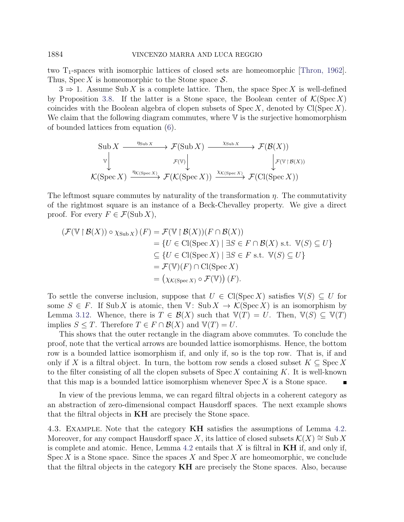two  $T_1$ -spaces with isomorphic lattices of closed sets are homeomorphic [\[Thron, 1962\]](#page-35-7). Thus, Spec X is homeomorphic to the Stone space  $S$ .

 $3 \Rightarrow 1$ . Assume Sub X is a complete lattice. Then, the space Spec X is well-defined by Proposition [3.8.](#page-9-1) If the latter is a Stone space, the Boolean center of  $\mathcal{K}(\text{Spec } X)$ coincides with the Boolean algebra of clopen subsets of  $Spec X$ , denoted by  $ClSpec X$ ). We claim that the following diagram commutes, where  $\nabla$  is the surjective homomorphism of bounded lattices from equation [\(6\)](#page-10-1).

$$
\text{Sub } X \xrightarrow{\eta_{\text{Sub } X}} \mathcal{F}(\text{Sub } X) \xrightarrow{\chi_{\text{Sub } X}} \mathcal{F}(\mathcal{B}(X))
$$
\n
$$
\downarrow \qquad \qquad \downarrow \qquad \qquad \downarrow \qquad \qquad \downarrow \qquad \qquad \downarrow \qquad \qquad \downarrow \qquad \qquad \downarrow \qquad \qquad \downarrow \qquad \qquad \downarrow \qquad \qquad \downarrow \qquad \qquad \downarrow \qquad \qquad \downarrow \qquad \qquad \downarrow \qquad \qquad \downarrow \qquad \qquad \downarrow \qquad \qquad \downarrow \qquad \qquad \downarrow \qquad \qquad \downarrow \qquad \qquad \downarrow \qquad \qquad \downarrow \qquad \qquad \downarrow \qquad \qquad \downarrow \qquad \qquad \downarrow \qquad \qquad \downarrow \qquad \qquad \downarrow \qquad \qquad \downarrow \qquad \qquad \downarrow \qquad \qquad \downarrow \qquad \qquad \downarrow \qquad \qquad \downarrow \qquad \qquad \downarrow \qquad \qquad \downarrow \qquad \qquad \downarrow \qquad \qquad \downarrow \qquad \qquad \downarrow \qquad \qquad \downarrow \qquad \qquad \downarrow \qquad \qquad \downarrow \qquad \qquad \downarrow \qquad \qquad \downarrow \qquad \qquad \downarrow \qquad \qquad \downarrow \qquad \qquad \downarrow \qquad \qquad \downarrow \qquad \qquad \downarrow \qquad \qquad \downarrow \qquad \qquad \downarrow \qquad \qquad \downarrow \qquad \qquad \downarrow \qquad \qquad \downarrow \qquad \qquad \downarrow \qquad \qquad \downarrow \qquad \qquad \downarrow \qquad \qquad \downarrow \qquad \qquad \downarrow \qquad \qquad \downarrow \qquad \qquad \downarrow \qquad \qquad \downarrow \qquad \qquad \downarrow \qquad \qquad \downarrow \qquad \qquad \downarrow \qquad \qquad \downarrow \qquad \qquad \downarrow \qquad \qquad \downarrow \qquad \qquad \downarrow \qquad \qquad \downarrow \qquad \qquad \downarrow \qquad \qquad \downarrow \qquad \qquad \downarrow \qquad \qquad \downarrow \qquad \qquad \downarrow \qquad \qquad \downarrow \qquad \qquad \downarrow \qquad \qquad \downarrow \qquad \qquad \downarrow \qquad \qquad \downarrow \qquad \qquad \downarrow \qquad \q
$$

The leftmost square commutes by naturality of the transformation  $\eta$ . The commutativity of the rightmost square is an instance of a Beck-Chevalley property. We give a direct proof. For every  $F \in \mathcal{F}(\mathrm{Sub}\,X)$ ,

$$
\begin{aligned} \left(\mathcal{F}(\mathbb{V} \mid \mathcal{B}(X)) \circ \chi_{\text{Sub } X}\right)(F) &= \mathcal{F}(\mathbb{V} \mid \mathcal{B}(X))(F \cap \mathcal{B}(X)) \\ &= \{U \in \text{Cl}(\text{Spec } X) \mid \exists S \in F \cap \mathcal{B}(X) \text{ s.t. } \mathbb{V}(S) \subseteq U\} \\ &\subseteq \{U \in \text{Cl}(\text{Spec } X) \mid \exists S \in F \text{ s.t. } \mathbb{V}(S) \subseteq U\} \\ &= \mathcal{F}(\mathbb{V})(F) \cap \text{Cl}(\text{Spec } X) \\ &= \left(\chi_{\mathcal{K}(\text{Spec } X)} \circ \mathcal{F}(\mathbb{V})\right)(F). \end{aligned}
$$

To settle the converse inclusion, suppose that  $U \in \mathrm{Cl}(\mathrm{Spec}\, X)$  satisfies  $\mathbb{V}(S) \subseteq U$  for some  $S \in F$ . If Sub X is atomic, then V: Sub  $X \to \mathcal{K}(\operatorname{Spec} X)$  is an isomorphism by Lemma [3.12.](#page-11-1) Whence, there is  $T \in \mathcal{B}(X)$  such that  $\mathbb{V}(T) = U$ . Then,  $\mathbb{V}(S) \subseteq \mathbb{V}(T)$ implies  $S \leq T$ . Therefore  $T \in F \cap \mathcal{B}(X)$  and  $\mathbb{V}(T) = U$ .

This shows that the outer rectangle in the diagram above commutes. To conclude the proof, note that the vertical arrows are bounded lattice isomorphisms. Hence, the bottom row is a bounded lattice isomorphism if, and only if, so is the top row. That is, if and only if X is a filtral object. In turn, the bottom row sends a closed subset  $K \subseteq \text{Spec } X$ to the filter consisting of all the clopen subsets of  $Spec X$  containing K. It is well-known that this map is a bounded lattice isomorphism whenever  $Spec X$  is a Stone space.

In view of the previous lemma, we can regard filtral objects in a coherent category as an abstraction of zero-dimensional compact Hausdorff spaces. The next example shows that the filtral objects in KH are precisely the Stone space.

<span id="page-13-0"></span>4.3. Example. Note that the category KH satisfies the assumptions of Lemma [4.2.](#page-12-0) Moreover, for any compact Hausdorff space X, its lattice of closed subsets  $\mathcal{K}(X) \cong$  Sub X is complete and atomic. Hence, Lemma [4.2](#page-12-0) entails that X is filtral in  $KH$  if, and only if, Spec X is a Stone space. Since the spaces X and  $Spec X$  are homeomorphic, we conclude that the filtral objects in the category KH are precisely the Stone spaces. Also, because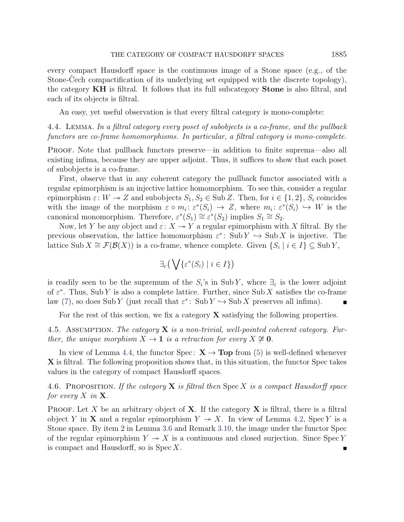every compact Hausdorff space is the continuous image of a Stone space (e.g., of the Stone-Cech compactification of its underlying set equipped with the discrete topology), the category KH is filtral. It follows that its full subcategory Stone is also filtral, and each of its objects is filtral.

An easy, yet useful observation is that every filtral category is mono-complete:

<span id="page-14-0"></span>4.4. Lemma. In a filtral category every poset of subobjects is a co-frame, and the pullback functors are co-frame homomorphisms. In particular, a filtral category is mono-complete.

Proof. Note that pullback functors preserve—in addition to finite suprema—also all existing infima, because they are upper adjoint. Thus, it suffices to show that each poset of subobjects is a co-frame.

First, observe that in any coherent category the pullback functor associated with a regular epimorphism is an injective lattice homomorphism. To see this, consider a regular epimorphism  $\varepsilon: W \to Z$  and subobjects  $S_1, S_2 \in \text{Sub } Z$ . Then, for  $i \in \{1, 2\}$ ,  $S_i$  coincides with the image of the morphism  $\varepsilon \circ m_i : \varepsilon^*(S_i) \to Z$ , where  $m_i : \varepsilon^*(S_i) \hookrightarrow W$  is the canonical monomorphism. Therefore,  $\varepsilon^*(S_1) \cong \varepsilon^*(S_2)$  implies  $S_1 \cong S_2$ .

Now, let Y be any object and  $\varepsilon: X \to Y$  a regular epimorphism with X filtral. By the previous observation, the lattice homomorphism  $\varepsilon^*$ : Sub  $Y \hookrightarrow$  Sub X is injective. The lattice Sub  $X \cong \mathcal{F}(\mathcal{B}(X))$  is a co-frame, whence complete. Given  $\{S_i \mid i \in I\} \subseteq \text{Sub } Y$ ,

$$
\exists_{\varepsilon} \big(\bigvee \{\varepsilon^*(S_i) \mid i \in I\}\big)
$$

is readily seen to be the supremum of the  $S_i$ 's in Sub Y, where  $\exists_{\varepsilon}$  is the lower adjoint of  $\varepsilon^*$ . Thus, Sub Y is also a complete lattice. Further, since Sub X satisfies the co-frame law [\(7\)](#page-11-2), so does Sub Y (just recall that  $\varepsilon^*$ : Sub  $Y \hookrightarrow$  Sub X preserves all infima).

For the rest of this section, we fix a category  $X$  satisfying the following properties.

<span id="page-14-2"></span>4.5. ASSUMPTION. The category  $X$  is a non-trivial, well-pointed coherent category. Further, the unique morphism  $X \to \mathbf{1}$  is a retraction for every  $X \not\cong \mathbf{0}$ .

In view of Lemma [4.4,](#page-14-0) the functor Spec:  $X \rightarrow Top$  from [\(5\)](#page-10-2) is well-defined whenever X is filtral. The following proposition shows that, in this situation, the functor Spec takes values in the category of compact Hausdorff spaces.

<span id="page-14-1"></span>4.6. PROPOSITION. If the category  $X$  is filtral then Spec X is a compact Hausdorff space for every X in  $X$ .

PROOF. Let X be an arbitrary object of  $X$ . If the category  $X$  is filtral, there is a filtral object Y in X and a regular epimorphism  $Y \rightarrow X$ . In view of Lemma [4.2,](#page-12-0) Spec Y is a Stone space. By item 2 in Lemma [3.6](#page-7-0) and Remark [3.10,](#page-10-3) the image under the functor Spec of the regular epimorphism  $Y \rightarrow X$  is a continuous and closed surjection. Since Spec Y is compact and Hausdorff, so is  $Spec X$ .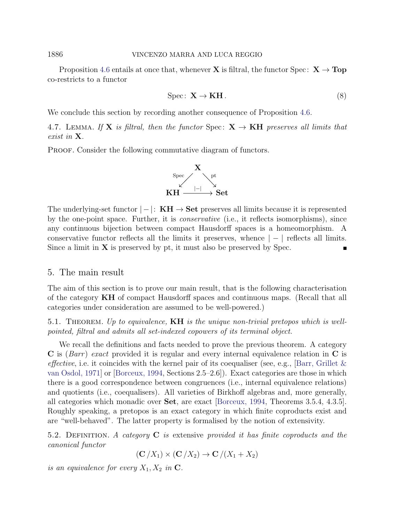Proposition [4.6](#page-14-1) entails at once that, whenever **X** is filtral, the functor Spec:  $X \rightarrow Top$ co-restricts to a functor

<span id="page-15-2"></span>
$$
Spec: \mathbf{X} \to \mathbf{KH}.
$$
 (8)

We conclude this section by recording another consequence of Proposition [4.6.](#page-14-1)

<span id="page-15-3"></span>4.7. LEMMA. If **X** is filtral, then the functor Spec:  $X \rightarrow KH$  preserves all limits that exist in X.

PROOF. Consider the following commutative diagram of functors.



The underlying-set functor  $|-|: \mathbf{KH} \to \mathbf{Set}$  preserves all limits because it is represented by the one-point space. Further, it is conservative (i.e., it reflects isomorphisms), since any continuous bijection between compact Hausdorff spaces is a homeomorphism. A conservative functor reflects all the limits it preserves, whence  $\vert - \vert$  reflects all limits. Since a limit in  $X$  is preserved by pt, it must also be preserved by Spec.

## <span id="page-15-1"></span>5. The main result

The aim of this section is to prove our main result, that is the following characterisation of the category KH of compact Hausdorff spaces and continuous maps. (Recall that all categories under consideration are assumed to be well-powered.)

<span id="page-15-0"></span>5.1. THEOREM. Up to equivalence,  $KH$  is the unique non-trivial pretopos which is wellpointed, filtral and admits all set-indexed copowers of its terminal object.

We recall the definitions and facts needed to prove the previous theorem. A category  $\bf{C}$  is (*Barr*) exact provided it is regular and every internal equivalence relation in  $\bf{C}$  is *effective*, i.e. it coincides with the kernel pair of its coequaliser (see, e.g., [Barr, Grillet  $\&$ [van Osdol, 1971\]](#page-33-8) or [\[Borceux, 1994,](#page-33-9) Sections 2.5–2.6]). Exact categories are those in which there is a good correspondence between congruences (i.e., internal equivalence relations) and quotients (i.e., coequalisers). All varieties of Birkhoff algebras and, more generally, all categories which monadic over Set, are exact [\[Borceux, 1994,](#page-33-9) Theorems 3.5.4, 4.3.5]. Roughly speaking, a pretopos is an exact category in which finite coproducts exist and are "well-behaved". The latter property is formalised by the notion of extensivity.

5.2. DEFINITION. A category  $C$  is extensive provided it has finite coproducts and the canonical functor

 $(C/X_1)\times (C/X_2)\rightarrow C/(X_1+X_2)$ 

is an equivalence for every  $X_1, X_2$  in C.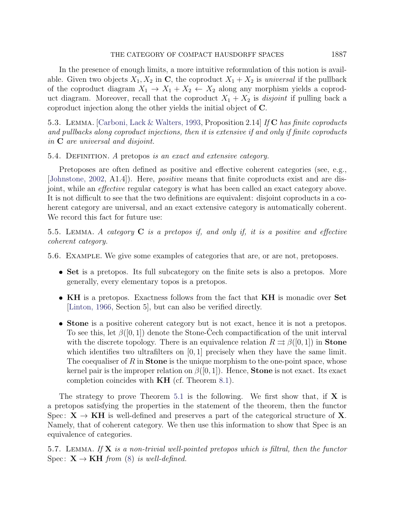In the presence of enough limits, a more intuitive reformulation of this notion is available. Given two objects  $X_1, X_2$  in C, the coproduct  $X_1 + X_2$  is universal if the pullback of the coproduct diagram  $X_1 \rightarrow X_1 + X_2 \leftarrow X_2$  along any morphism yields a coproduct diagram. Moreover, recall that the coproduct  $X_1 + X_2$  is *disjoint* if pulling back a coproduct injection along the other yields the initial object of C.

5.3. LEMMA. Carboni, Lack & Walters, 1993, Proposition 2.14 If C has finite coproducts and pullbacks along coproduct injections, then it is extensive if and only if finite coproducts in C are universal and disjoint.

5.4. DEFINITION. A pretopos is an exact and extensive category.

Pretoposes are often defined as positive and effective coherent categories (see, e.g., [\[Johnstone, 2002,](#page-34-8) A1.4]). Here, positive means that finite coproducts exist and are disjoint, while an effective regular category is what has been called an exact category above. It is not difficult to see that the two definitions are equivalent: disjoint coproducts in a coherent category are universal, and an exact extensive category is automatically coherent. We record this fact for future use:

<span id="page-16-0"></span>5.5. LEMMA. A category  $C$  is a pretopos if, and only if, it is a positive and effective coherent category.

<span id="page-16-1"></span>5.6. Example. We give some examples of categories that are, or are not, pretoposes.

- Set is a pretopos. Its full subcategory on the finite sets is also a pretopos. More generally, every elementary topos is a pretopos.
- KH is a pretopos. Exactness follows from the fact that KH is monadic over Set [\[Linton, 1966,](#page-34-0) Section 5], but can also be verified directly.
- Stone is a positive coherent category but is not exact, hence it is not a pretopos. To see this, let  $\beta([0,1])$  denote the Stone-Cech compactification of the unit interval with the discrete topology. There is an equivalence relation  $R \rightrightarrows \beta([0,1])$  in **Stone** which identifies two ultrafilters on  $[0, 1]$  precisely when they have the same limit. The coequaliser of R in **Stone** is the unique morphism to the one-point space, whose kernel pair is the improper relation on  $\beta([0,1])$ . Hence, **Stone** is not exact. Its exact completion coincides with KH (cf. Theorem [8.1\)](#page-32-0).

The strategy to prove Theorem [5.1](#page-15-0) is the following. We first show that, if  $X$  is a pretopos satisfying the properties in the statement of the theorem, then the functor Spec:  $X \rightarrow KH$  is well-defined and preserves a part of the categorical structure of X. Namely, that of coherent category. We then use this information to show that Spec is an equivalence of categories.

5.7. LEMMA. If  $X$  is a non-trivial well-pointed pretopos which is filtral, then the functor Spec:  $X \rightarrow KH$  from [\(8\)](#page-15-2) is well-defined.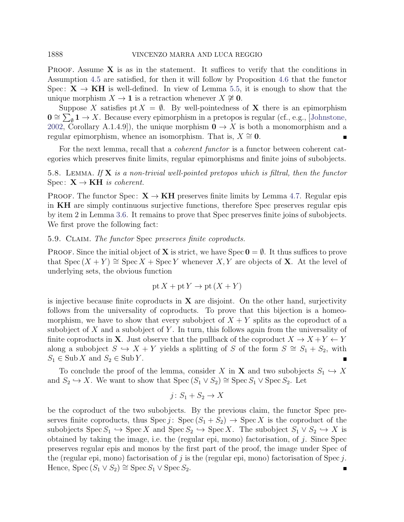**PROOF.** Assume  $X$  is as in the statement. It suffices to verify that the conditions in Assumption [4.5](#page-14-2) are satisfied, for then it will follow by Proposition [4.6](#page-14-1) that the functor Spec:  $X \rightarrow KH$  is well-defined. In view of Lemma [5.5,](#page-16-0) it is enough to show that the unique morphism  $X \to \mathbf{1}$  is a retraction whenever  $X \not\cong \mathbf{0}$ .

Suppose X satisfies pt  $X = \emptyset$ . By well-pointedness of X there is an epimorphism  $\mathbf{0} \cong \sum_{\emptyset}^{\bullet} \mathbf{1} \to X$ . Because every epimorphism in a pretopos is regular (cf., e.g., [\[Johnstone,](#page-34-8) [2002,](#page-34-8) Corollary A.1.4.9]), the unique morphism  $0 \rightarrow X$  is both a monomorphism and a regular epimorphism, whence an isomorphism. That is,  $X \cong 0$ .

For the next lemma, recall that a *coherent functor* is a functor between coherent categories which preserves finite limits, regular epimorphisms and finite joins of subobjects.

<span id="page-17-0"></span>5.8. LEMMA. If  $X$  is a non-trivial well-pointed pretopos which is filtral, then the functor Spec:  $X \rightarrow KH$  is coherent.

PROOF. The functor Spec:  $X \rightarrow KH$  preserves finite limits by Lemma [4.7.](#page-15-3) Regular epis in KH are simply continuous surjective functions, therefore Spec preserves regular epis by item 2 in Lemma [3.6.](#page-7-0) It remains to prove that Spec preserves finite joins of subobjects. We first prove the following fact:

### <span id="page-17-1"></span>5.9. Claim. The functor Spec preserves finite coproducts.

**PROOF.** Since the initial object of **X** is strict, we have  $\text{Spec } \mathbf{0} = \emptyset$ . It thus suffices to prove that  $Spec(X + Y) \cong Spec X + Spec Y$  whenever X, Y are objects of X. At the level of underlying sets, the obvious function

$$
pt X + pt Y \rightarrow pt (X + Y)
$$

is injective because finite coproducts in  $X$  are disjoint. On the other hand, surjectivity follows from the universality of coproducts. To prove that this bijection is a homeomorphism, we have to show that every subobject of  $X + Y$  splits as the coproduct of a subobject of  $X$  and a subobject of  $Y$ . In turn, this follows again from the universality of finite coproducts in **X**. Just observe that the pullback of the coproduct  $X \to X + Y \leftarrow Y$ along a subobject  $S \hookrightarrow X + Y$  yields a splitting of S of the form  $S \cong S_1 + S_2$ , with  $S_1 \in Sub X$  and  $S_2 \in Sub Y$ .

To conclude the proof of the lemma, consider X in X and two subobjects  $S_1 \hookrightarrow X$ and  $S_2 \hookrightarrow X$ . We want to show that  $Spec (S_1 \vee S_2) \cong Spec S_1 \vee Spec S_2$ . Let

$$
j\colon S_1 + S_2 \to X
$$

be the coproduct of the two subobjects. By the previous claim, the functor Spec preserves finite coproducts, thus  $Spec j$ :  $Spec (S_1 + S_2) \rightarrow Spec X$  is the coproduct of the subobjects  $\text{Spec } S_1 \hookrightarrow \text{Spec } X$  and  $\text{Spec } S_2 \hookrightarrow \text{Spec } X$ . The subobject  $S_1 \vee S_2 \hookrightarrow X$  is obtained by taking the image, i.e. the (regular epi, mono) factorisation, of  $j$ . Since Spec preserves regular epis and monos by the first part of the proof, the image under Spec of the (regular epi, mono) factorisation of j is the (regular epi, mono) factorisation of Spec j. Hence, Spec  $(S_1 \vee S_2) \cong \text{Spec } S_1 \vee \text{Spec } S_2$ .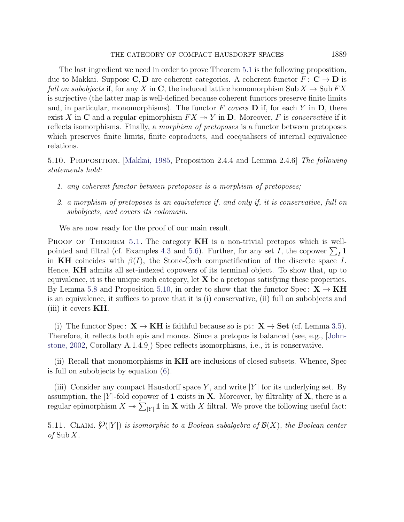The last ingredient we need in order to prove Theorem [5.1](#page-15-0) is the following proposition, due to Makkai. Suppose C, D are coherent categories. A coherent functor  $F: \mathbb{C} \to \mathbb{D}$  is *full on subobjects* if, for any X in C, the induced lattice homomorphism Sub  $X \to \text{Sub } FX$ is surjective (the latter map is well-defined because coherent functors preserve finite limits and, in particular, monomorphisms). The functor F covers  $\bf{D}$  if, for each Y in  $\bf{D}$ , there exist X in C and a regular epimorphism  $FX \rightarrow Y$  in D. Moreover, F is conservative if it reflects isomorphisms. Finally, a morphism of pretoposes is a functor between pretoposes which preserves finite limits, finite coproducts, and coequalisers of internal equivalence relations.

<span id="page-18-0"></span>5.10. Proposition. [\[Makkai, 1985,](#page-34-12) Proposition 2.4.4 and Lemma 2.4.6] The following statements hold:

- 1. any coherent functor between pretoposes is a morphism of pretoposes;
- 2. a morphism of pretoposes is an equivalence if, and only if, it is conservative, full on subobjects, and covers its codomain.

We are now ready for the proof of our main result.

PROOF OF THEOREM [5.1.](#page-15-0) The category **KH** is a non-trivial pretopos which is well-pointed and filtral (cf. Examples [4.3](#page-13-0) and [5.6\)](#page-16-1). Further, for any set I, the copower  $\sum_I \mathbf{1}$ in KH coincides with  $\beta(I)$ , the Stone-Cech compactification of the discrete space I. Hence, KH admits all set-indexed copowers of its terminal object. To show that, up to equivalence, it is the unique such category, let  $X$  be a pretopos satisfying these properties. By Lemma [5.8](#page-17-0) and Proposition [5.10,](#page-18-0) in order to show that the functor Spec:  $X \rightarrow KH$ is an equivalence, it suffices to prove that it is (i) conservative, (ii) full on subobjects and (iii) it covers  $KH$ .

(i) The functor Spec:  $X \to KH$  is faithful because so is pt:  $X \to Set$  (cf. Lemma [3.5\)](#page-7-1). Therefore, it reflects both epis and monos. Since a pretopos is balanced (see, e.g., [\[John](#page-34-8)[stone, 2002,](#page-34-8) Corollary A.1.4.9]) Spec reflects isomorphisms, i.e., it is conservative.

(ii) Recall that monomorphisms in KH are inclusions of closed subsets. Whence, Spec is full on subobjects by equation [\(6\)](#page-10-1).

(iii) Consider any compact Hausdorff space Y, and write  $|Y|$  for its underlying set. By assumption, the |Y|-fold copower of 1 exists in  $X$ . Moreover, by filtrality of  $X$ , there is a regular epimorphism  $X \twoheadrightarrow \sum_{|Y|} 1$  in X with X filtral. We prove the following useful fact:

5.11. CLAIM.  $\mathcal{O}(|Y|)$  is isomorphic to a Boolean subalgebra of  $\mathcal{B}(X)$ , the Boolean center of  $\text{Sub } X$ .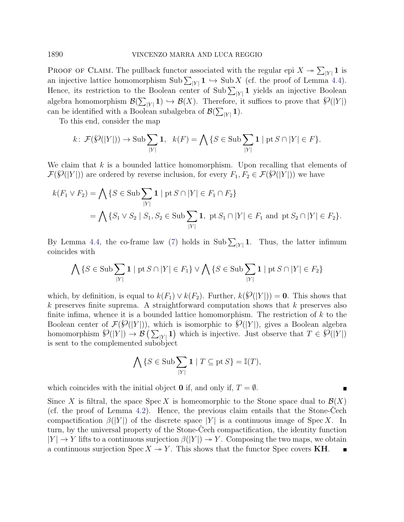PROOF OF CLAIM. The pullback functor associated with the regular epi  $X \to \sum_{|Y|} 1$  is an injective lattice homomorphism  $\text{Sub }\sum_{|Y|} 1 \hookrightarrow \text{Sub } X$  (cf. the proof of Lemma [4.4\)](#page-14-0). Hence, its restriction to the Boolean center of Sub  $\sum_{|Y|} 1$  yields an injective Boolean algebra homomorphism  $\mathcal{B}(\sum_{|Y|} 1) \hookrightarrow \mathcal{B}(X)$ . Therefore, it suffices to prove that  $\mathcal{P}(|Y|)$ can be identified with a Boolean subalgebra of  $\mathcal{B}(\sum_{|Y|} 1)$ .

To this end, consider the map

$$
k\colon \mathcal{F}(\mathcal{G}(|Y|)) \to \text{Sub} \sum_{|Y|} \mathbf{1}, \quad k(F) = \bigwedge \{ S \in \text{Sub} \sum_{|Y|} \mathbf{1} \mid \text{pt } S \cap |Y| \in F \}.
$$

We claim that  $k$  is a bounded lattice homomorphism. Upon recalling that elements of  $\mathcal{F}(\mathcal{G}(|Y|))$  are ordered by reverse inclusion, for every  $F_1, F_2 \in \mathcal{F}(\mathcal{G}(|Y|))$  we have

$$
k(F_1 \vee F_2) = \bigwedge \{ S \in \text{Sub} \sum_{|Y|} 1 \mid \text{pt } S \cap |Y| \in F_1 \cap F_2 \}
$$
  
= 
$$
\bigwedge \{ S_1 \vee S_2 \mid S_1, S_2 \in \text{Sub} \sum_{|Y|} 1, \text{ pt } S_1 \cap |Y| \in F_1 \text{ and pt } S_2 \cap |Y| \in F_2 \}.
$$

By Lemma [4.4,](#page-14-0) the co-frame law [\(7\)](#page-11-2) holds in Sub  $\sum_{|Y|} 1$ . Thus, the latter infimum coincides with

$$
\bigwedge \{ S \in \text{Sub} \sum_{|Y|} \mathbf{1} \mid \text{pt } S \cap |Y| \in F_1 \} \vee \bigwedge \{ S \in \text{Sub} \sum_{|Y|} \mathbf{1} \mid \text{pt } S \cap |Y| \in F_2 \}
$$

which, by definition, is equal to  $k(F_1) \vee k(F_2)$ . Further,  $k(\mathcal{O}(|Y|)) = 0$ . This shows that  $k$  preserves finite suprema. A straightforward computation shows that  $k$  preserves also finite infima, whence it is a bounded lattice homomorphism. The restriction of  $k$  to the Boolean center of  $\mathcal{F}(\mathcal{G}(|Y|))$ , which is isomorphic to  $\mathcal{G}(|Y|)$ , gives a Boolean algebra booked center of  $\mathcal{S}(Y|Y|) \to \mathcal{B}(\sum_{|Y|} 1)$  which is injective. Just observe that  $T \in \mathcal{S}(|Y|)$ is sent to the complemented subobject

$$
\bigwedge \{ S \in \text{Sub} \sum_{|Y|} \mathbf{1} \mid T \subseteq \text{pt } S \} = \mathbb{I}(T),
$$

 $\blacksquare$ 

which coincides with the initial object 0 if, and only if,  $T = \emptyset$ .

Since X is filtral, the space Spec X is homeomorphic to the Stone space dual to  $\mathcal{B}(X)$ (cf. the proof of Lemma  $4.2$ ). Hence, the previous claim entails that the Stone-Cech compactification  $\beta(|Y|)$  of the discrete space |Y| is a continuous image of Spec X. In turn, by the universal property of the Stone-Cech compactification, the identity function  $|Y| \to Y$  lifts to a continuous surjection  $\beta(|Y|) \to Y$ . Composing the two maps, we obtain a continuous surjection  $Spec X \rightarrow Y$ . This shows that the functor Spec covers KH.  $\blacksquare$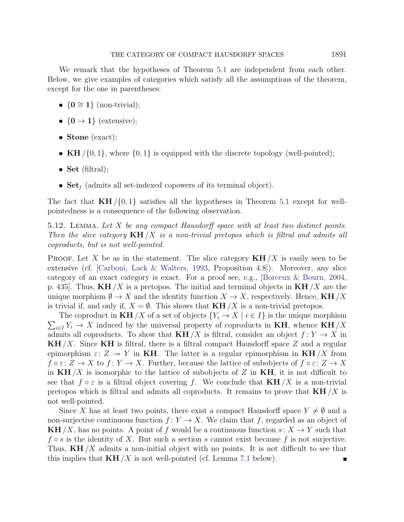We remark that the hypotheses of Theorem [5.1](#page-15-0) are independent from each other. Below, we give examples of categories which satisfy all the assumptions of the theorem, except for the one in parentheses:

- ${0 \cong 1}$  (non-trivial);
- ${0 \rightarrow 1}$  (extensive);
- Stone (exact);
- KH  $/\{0, 1\}$ , where  $\{0, 1\}$  is equipped with the discrete topology (well-pointed);
- Set (filtral);
- $\textbf{Set}_f$  (admits all set-indexed copowers of its terminal object).

The fact that  $KH/{0,1}$  satisfies all the hypotheses in Theorem [5.1](#page-15-0) except for wellpointedness is a consequence of the following observation.

5.12. Lemma. Let X be any compact Hausdorff space with at least two distinct points. Then the slice category  $KH/X$  is a non-trivial pretopos which is filtral and admits all coproducts, but is not well-pointed.

**PROOF.** Let X be as in the statement. The slice category  $KH/X$  is easily seen to be extensive (cf. [\[Carboni, Lack & Walters, 1993,](#page-33-10) Proposition 4.8]). Moreover, any slice category of an exact category is exact. For a proof see, e.g., [\[Borceux & Bourn, 2004,](#page-33-11) p. 435. Thus,  $\mathbf{KH}/X$  is a pretopos. The initial and terminal objects in  $\mathbf{KH}/X$  are the unique morphism  $\emptyset \to X$  and the identity function  $X \to X$ , respectively. Hence, **KH** /X is trivial if, and only if,  $X = \emptyset$ . This shows that  $KH/X$  is a non-trivial pretopos.

 $\sum_{i\in I} Y_i \to X$  induced by the universal property of coproducts in **KH**, whence **KH**/X The coproduct in  $KH/X$  of a set of objects  ${Y_i \rightarrow X \mid i \in I}$  is the unique morphism admits all coproducts. To show that  $KH/X$  is filtral, consider an object  $f: Y \to X$  in  $KH/X$ . Since KH is filtral, there is a filtral compact Hausdorff space Z and a regular epimorphism  $\varepsilon: Z \to Y$  in KH. The latter is a regular epimorphism in KH/X from  $f \circ \varepsilon: Z \to X$  to  $f: Y \to X$ . Further, because the lattice of subobjects of  $f \circ \varepsilon: Z \to X$ in  $KH/X$  is isomorphic to the lattice of subobjects of Z in KH, it is not difficult to see that  $f \circ \varepsilon$  is a filtral object covering f. We conclude that  $KH/X$  is a non-trivial pretopos which is filtral and admits all coproducts. It remains to prove that  $KH/X$  is not well-pointed.

Since X has at least two points, there exist a compact Hausdorff space  $Y \neq \emptyset$  and a non-surjective continuous function  $f: Y \to X$ . We claim that f, regarded as an object of KH /X, has no points. A point of f would be a continuous function  $s: X \to Y$  such that  $f \circ s$  is the identity of X. But such a section s cannot exist because f is not surjective. Thus,  $KH/X$  admits a non-initial object with no points. It is not difficult to see that this implies that  $KH/X$  is not well-pointed (cf. Lemma [7.1](#page-28-0) below).  $\blacksquare$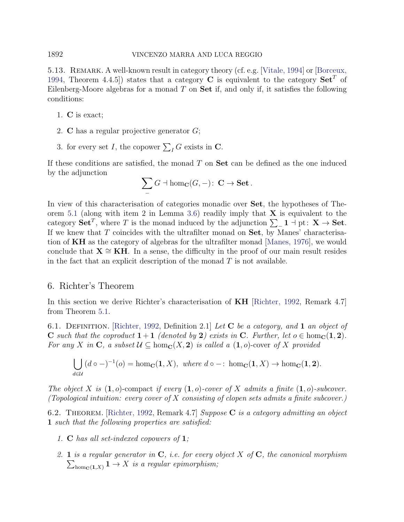## 1892 VINCENZO MARRA AND LUCA REGGIO

5.13. REMARK. A well-known result in category theory (cf. e.g. [\[Vitale, 1994\]](#page-35-8) or [\[Borceux,](#page-33-9) [1994,](#page-33-9) Theorem 4.4.5) states that a category **C** is equivalent to the category  $\textbf{Set}^T$  of Eilenberg-Moore algebras for a monad  $T$  on  $\mathbf{Set}$  if, and only if, it satisfies the following conditions:

- 1. C is exact;
- 2. C has a regular projective generator G;
- 3. for every set I, the copower  $\sum_{I} G$  exists in C.

If these conditions are satisfied, the monad  $T$  on  $\mathbf{Set}$  can be defined as the one induced by the adjunction

$$
\sum_{-} G \dashv \hom_{\mathbf{C}}(G, -) \colon \mathbf{C} \to \mathbf{Set}.
$$

In view of this characterisation of categories monadic over Set, the hypotheses of The-orem [5.1](#page-15-0) (along with item 2 in Lemma [3.6\)](#page-7-0) readily imply that  $X$  is equivalent to the category  $\mathbf{Set}^T$ , where T is the monad induced by the adjunction  $\sum_{i=1}^{\infty} 1$  + pt:  $\mathbf{X} \to \mathbf{Set}$ . If we knew that  $T$  coincides with the ultrafilter monad on  $Set$ , by Manes' characterisation of KH as the category of algebras for the ultrafilter monad [\[Manes, 1976\]](#page-34-5), we would conclude that  $X \cong KH$ . In a sense, the difficulty in the proof of our main result resides in the fact that an explicit description of the monad  $T$  is not available.

## <span id="page-21-1"></span>6. Richter's Theorem

In this section we derive Richter's characterisation of KH [\[Richter, 1992,](#page-35-2) Remark 4.7] from Theorem [5.1.](#page-15-0)

6.1. DEFINITION. [\[Richter, 1992,](#page-35-2) Definition 2.1] Let  $C$  be a category, and 1 an object of C such that the coproduct  $1+1$  (denoted by 2) exists in C. Further, let  $o \in \text{hom}_C(1, 2)$ . For any X in C, a subset  $\mathcal{U} \subseteq \text{hom}_\mathbf{C}(X, 2)$  is called a  $(1, o)$ -cover of X provided

$$
\bigcup_{d \in \mathcal{U}} (d \circ -)^{-1}(o) = \text{hom}_{\mathbf{C}}(\mathbf{1}, X), \text{ where } d \circ -: \text{ hom}_{\mathbf{C}}(\mathbf{1}, X) \to \text{hom}_{\mathbf{C}}(\mathbf{1}, \mathbf{2}).
$$

The object X is  $(1, o)$ -compact if every  $(1, o)$ -cover of X admits a finite  $(1, o)$ -subcover. (Topological intuition: every cover of X consisting of clopen sets admits a finite subcover.)

<span id="page-21-0"></span>6.2. THEOREM. [\[Richter, 1992,](#page-35-2) Remark 4.7] Suppose C is a category admitting an object 1 such that the following properties are satisfied:

- <span id="page-21-2"></span>1. C has all set-indexed copowers of 1;
- <span id="page-21-3"></span>2. 1 is a regular generator in  $C$ , i.e. for every object X of  $C$ , the canonical morphism  $\sum_{\text{hom}_{\mathbf{C}}(\mathbf{1},X)} \mathbf{1} \to X$  is a regular epimorphism;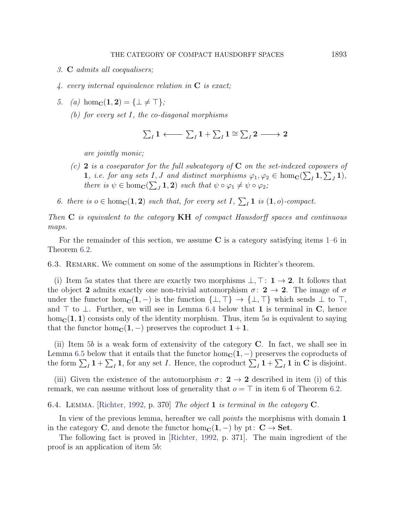- <span id="page-22-3"></span>3. C admits all coequalisers;
- <span id="page-22-4"></span>4. every internal equivalence relation in  $C$  is exact;

<span id="page-22-1"></span>5. (a) 
$$
hom_{\mathbf{C}}(1, 2) = {\perp \neq \top};
$$

(b) for every set I, the co-diagonal morphisms

$$
\sum_{I} 1 \longleftarrow \sum_{I} 1 + \sum_{I} 1 \cong \sum_{I} 2 \longrightarrow 2
$$

are jointly monic;

- (c) 2 is a coseparator for the full subcategory of  $C$  on the set-indexed copowers of 1, i.e. for any sets I, J and distinct morphisms  $\varphi_1, \varphi_2 \in \text{hom}_\mathbf{C}(\sum_I \mathbf{1}, \sum_J \mathbf{1}),$ there is  $\psi \in \text{hom}_{\mathbf{C}}(\sum_{J} \mathbf{1}, \mathbf{2})$  such that  $\psi \circ \varphi_1 \neq \psi \circ \varphi_2$ ;
- <span id="page-22-0"></span>6. there is  $o \in \text{hom}_{\mathbf{C}}(1, 2)$  such that, for every set  $I, \sum_{I} 1$  is  $(1, o)$ -compact.

Then  $C$  is equivalent to the category  $KH$  of compact Hausdorff spaces and continuous maps.

For the remainder of this section, we assume  $C$  is a category satisfying items  $1-6$  $1-6$  in Theorem [6.2.](#page-21-0)

6.3. Remark. We comment on some of the assumptions in Richter's theorem.

(i) Item [5](#page-22-1)a states that there are exactly two morphisms  $\bot$ ,  $\top: \mathbf{1} \rightarrow \mathbf{2}$ . It follows that the object 2 admits exactly one non-trivial automorphism  $\sigma: 2 \rightarrow 2$ . The image of  $\sigma$ under the functor hom<sub>C</sub>(1, -) is the function  $\{\perp, \perp\} \rightarrow \{\perp, \perp\}$  which sends  $\perp$  to  $\perp$ , and  $\top$  to  $\bot$ . Further, we will see in Lemma [6.4](#page-22-2) below that 1 is terminal in C, hence  $hom_{\mathbf{C}}(1,1)$  consists only of the identity morphism. Thus, item [5](#page-22-1)a is equivalent to saying that the functor hom<sub>c</sub> $(1, -)$  preserves the coproduct  $1 + 1$ .

(ii) Item  $5b$  $5b$  is a weak form of extensivity of the category  $C$ . In fact, we shall see in Lemma [6.5](#page-23-0) below that it entails that the functor  $hom_{\mathbb{C}}(1, -)$  preserves the coproducts of the form  $\sum_{I} 1 + \sum_{I} 1$ , for any set I. Hence, the coproduct  $\sum_{I} 1 + \sum_{I} 1$  in C is disjoint.

(iii) Given the existence of the automorphism  $\sigma: 2 \to 2$  described in item (i) of this remark, we can assume without loss of generality that  $o = \top$  in item [6](#page-22-0) of Theorem [6.2.](#page-21-0)

<span id="page-22-2"></span>6.4. Lemma. [\[Richter, 1992,](#page-35-2) p. 370] The object 1 is terminal in the category C.

In view of the previous lemma, hereafter we call *points* the morphisms with domain 1 in the category C, and denote the functor hom<sub>c</sub>(1, –) by pt:  $C \rightarrow$  Set.

The following fact is proved in [\[Richter, 1992,](#page-35-2) p. 371]. The main ingredient of the proof is an application of item [5](#page-22-1)b: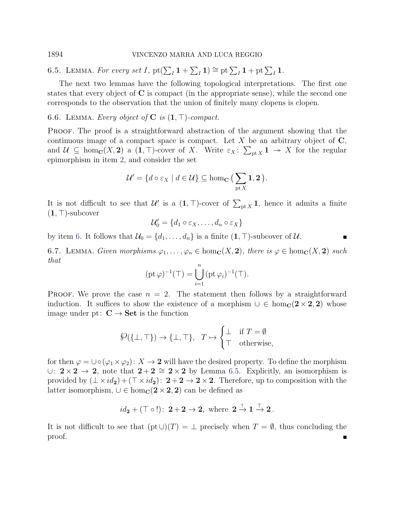<span id="page-23-0"></span>6.5. LEMMA. For every set I,  $\operatorname{pt}(\sum_I \mathbf{1} + \sum_I \mathbf{1}) \cong \operatorname{pt} \sum_I \mathbf{1} + \operatorname{pt} \sum_I \mathbf{1}$ .

The next two lemmas have the following topological interpretations. The first one states that every object of  $C$  is compact (in the appropriate sense), while the second one corresponds to the observation that the union of finitely many clopens is clopen.

## <span id="page-23-1"></span>6.6. LEMMA. Every object of  $C$  is  $(1, \top)$ -compact.

PROOF. The proof is a straightforward abstraction of the argument showing that the continuous image of a compact space is compact. Let  $X$  be an arbitrary object of  $C$ , and  $\mathcal{U} \subseteq \text{hom}_{\mathbf{C}}(X, 2)$  a  $(1, \top)$ -cover of X. Write  $\varepsilon_X \colon \sum_{\text{pt } X} 1 \to X$  for the regular epimorphism in item [2,](#page-21-3) and consider the set

$$
\mathcal{U}'=\{d\circ\varepsilon_X\mid d\in\mathcal{U}\}\subseteq\text{hom}_{\mathbf{C}}\big(\sum_{\text{pt }X}\mathbf{1},\mathbf{2}\big).
$$

It is not difficult to see that  $\mathcal{U}'$  is a  $(1, \top)$ -cover of  $\sum_{\mathrm{pt } X} 1$ , hence it admits a finite  $(1, T)$ -subcover

$$
\mathcal{U}'_0 = \{d_1 \circ \varepsilon_X, \dots, d_n \circ \varepsilon_X\}
$$

 $\blacksquare$ 

by item [6.](#page-22-0) It follows that  $\mathcal{U}_0 = \{d_1, \ldots, d_n\}$  is a finite  $(1, \top)$ -subcover of  $\mathcal{U}$ .

<span id="page-23-2"></span>6.7. LEMMA. Given morphisms  $\varphi_1, \ldots, \varphi_n \in \text{hom}_\mathbf{C}(X, 2)$ , there is  $\varphi \in \text{hom}_\mathbf{C}(X, 2)$  such that

$$
(\mathrm{pt}\,\varphi)^{-1}(\top)=\bigcup_{i=1}^n\,(\mathrm{pt}\,\varphi_i)^{-1}(\top).
$$

PROOF. We prove the case  $n = 2$ . The statement then follows by a straightforward induction. It suffices to show the existence of a morphism  $\cup \in \text{hom}_C(2 \times 2, 2)$  whose image under pt:  $C \rightarrow$  Set is the function

$$
\mathcal{S}(\{\bot, \top\}) \to \{\bot, \top\}, \quad T \mapsto \begin{cases} \bot & \text{if } T = \emptyset \\ \top & \text{otherwise,} \end{cases}
$$

for then  $\varphi = \cup \circ (\varphi_1 \times \varphi_2) : X \to \mathbf{2}$  will have the desired property. To define the morphism ∪:  $2 \times 2 \rightarrow 2$ , note that  $2 + 2 \approx 2 \times 2$  by Lemma [6.5.](#page-23-0) Explicitly, an isomorphism is provided by  $(\perp \times id_2) + (\perp \times id_2): 2 + 2 \rightarrow 2 \times 2$ . Therefore, up to composition with the latter isomorphism,  $\cup \in \text{hom}_{\mathbb{C}}(2 \times 2, 2)$  can be defined as

$$
id_2 + (\top \circ !) \colon 2 + 2 \to 2, \text{ where } 2 \stackrel{!}{\to} 1 \stackrel{\top}{\to} 2.
$$

It is not difficult to see that  $(pt \cup (T) = \perp$  precisely when  $T = \emptyset$ , thus concluding the proof.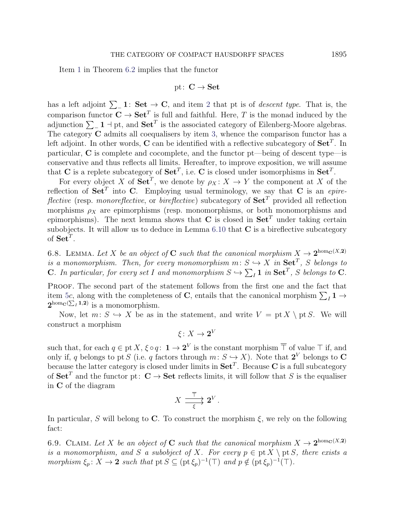Item [1](#page-21-2) in Theorem [6.2](#page-21-0) implies that the functor

$$
\mathrm{pt}\colon\thinspace\mathbf{C}\to\mathbf{Set}
$$

has a left adjoint  $\sum_{i=1}^{\infty}$  1: Set  $\rightarrow$  C, and item [2](#page-21-3) that pt is of *descent type*. That is, the comparison functor  $\mathbf{C} \to \mathbf{Set}^T$  is full and faithful. Here, T is the monad induced by the adjunction  $\sum_{-1} 1 \dashv pt$ , and  $\textbf{Set}^T$  is the associated category of Eilenberg-Moore algebras. The category C admits all coequalisers by item [3,](#page-22-3) whence the comparison functor has a left adjoint. In other words, C can be identified with a reflective subcategory of  $\mathbf{Set}^T$ . In particular, C is complete and cocomplete, and the functor pt—being of descent type—is conservative and thus reflects all limits. Hereafter, to improve exposition, we will assume that C is a replete subcategory of  $\textbf{Set}^T$ , i.e. C is closed under isomorphisms in  $\textbf{Set}^T$ .

For every object X of  $\mathbf{Set}^T$ , we denote by  $\rho_X \colon X \to Y$  the component at X of the reflection of  $\textbf{Set}^T$  into C. Employing usual terminology, we say that C is an *epire*flective (resp. monoreflective, or bireflective) subcategory of  $\mathbf{Set}^T$  provided all reflection morphisms  $\rho_X$  are epimorphisms (resp. monomorphisms, or both monomorphisms and epimorphisms). The next lemma shows that C is closed in  $\mathbf{Set}^T$  under taking certain subobjects. It will allow us to deduce in Lemma  $6.10$  that  $C$  is a bireflective subcategory of  $\mathbf{Set}^T$ .

<span id="page-24-0"></span>6.8. LEMMA. Let X be an object of C such that the canonical morphism  $X \to 2^{hom_G(X, 2)}$ is a monomorphism. Then, for every monomorphism  $m: S \hookrightarrow X$  in  $\mathbf{Set}^T$ , S belongs to **C**. In particular, for every set I and monomorphism  $S \hookrightarrow \sum_I \mathbf{1}$  in  $\mathbf{Set}^T$ , S belongs to **C**.

PROOF. The second part of the statement follows from the first one and the fact that item [5](#page-22-1)c, along with the completeness of C, entails that the canonical morphism  $\sum_I \mathbf{1} \rightarrow$  $2^{\text{hom}}c(\sum_i 1,2)$  is a monomorphism.

Now, let  $m: S \hookrightarrow X$  be as in the statement, and write  $V = pt X \setminus pt S$ . We will construct a morphism

$$
\xi\colon X\to\mathbf2^V
$$

such that, for each  $q \in \text{pt } X, \xi \circ q: \ 1 \to 2^V$  is the constant morphism  $\overline{\top}$  of value  $\top$  if, and only if, q belongs to pt S (i.e. q factors through  $m: S \hookrightarrow X$ ). Note that  $2^V$  belongs to C because the latter category is closed under limits in  $\mathbf{Set}^T$ . Because C is a full subcategory of  $\mathbf{Set}^T$  and the functor pt:  $\mathbf{C} \to \mathbf{Set}$  reflects limits, it will follow that S is the equaliser in C of the diagram

$$
X \xrightarrow[\xi]{\overline{\top}} \mathbf{2}^V.
$$

In particular, S will belong to C. To construct the morphism  $\xi$ , we rely on the following fact:

<span id="page-24-1"></span>6.9. CLAIM. Let X be an object of C such that the canonical morphism  $X \to 2^{hom_G(X, 2)}$ is a monomorphism, and S a subobject of X. For every  $p \in pt X \setminus pt S$ , there exists a morphism  $\xi_p: X \to \mathbf{2}$  such that  $pt \in \mathbb{S} \subseteq (pt \xi_p)^{-1}(\top)$  and  $p \notin (pt \xi_p)^{-1}(\top)$ .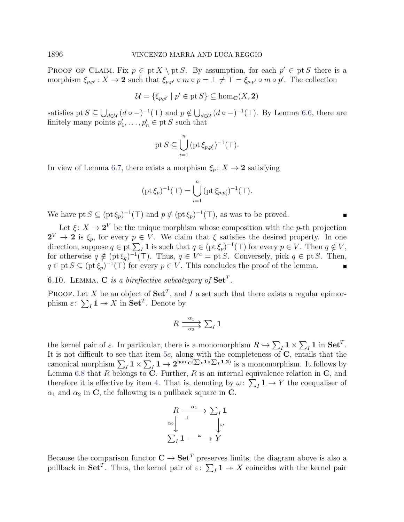PROOF OF CLAIM. Fix  $p \in pt X \setminus pt S$ . By assumption, for each  $p' \in pt S$  there is a morphism  $\xi_{p,p'} : X \to \mathbf{2}$  such that  $\xi_{p,p'} \circ m \circ p = \bot \neq \top = \xi_{p,p'} \circ m \circ p'$ . The collection

$$
\mathcal{U} = \{ \xi_{p,p'} \mid p' \in \text{pt } S \} \subseteq \text{hom}_{\mathbf{C}}(X, \mathbf{2})
$$

satisfies pt  $S \subseteq \bigcup_{d \in \mathcal{U}} (d \circ -)^{-1}(\top)$  and  $p \notin \bigcup_{d \in \mathcal{U}} (d \circ -)^{-1}(\top)$ . By Lemma [6.6,](#page-23-1) there are finitely many points  $p'_1, \ldots, p'_n \in ptS$  such that

$$
\mathrm{pt}\,S\subseteq \bigcup_{i=1}^n\big(\mathrm{pt}\,\xi_{p,p_i'}\big)^{-1}(\top).
$$

In view of Lemma [6.7,](#page-23-2) there exists a morphism  $\xi_p: X \to \mathbf{2}$  satisfying

$$
(\text{pt }\xi_p)^{-1}(\top) = \bigcup_{i=1}^n (\text{pt }\xi_{p,p_i'})^{-1}(\top).
$$

We have pt  $S \subseteq (\text{pt } \xi_p)^{-1}(\top)$  and  $p \notin (\text{pt } \xi_p)^{-1}(\top)$ , as was to be proved.

Let  $\xi: X \to 2^V$  be the unique morphism whose composition with the p-th projection  $2^V \to 2$  is  $\xi_p$ , for every  $p \in V$ . We claim that  $\xi$  satisfies the desired property. In one direction, suppose  $q \in pt \sum_I \mathbf{1}$  is such that  $q \in (pt \xi_p)^{-1}(\top)$  for every  $p \in V$ . Then  $q \notin V$ , for otherwise  $q \notin (\text{pt } \xi_q)^{-1}(\top)$ . Thus,  $q \in V^c = \text{pt } S$ . Conversely, pick  $q \in \text{pt } S$ . Then,  $q \in pt \, S \subseteq (pt \, \xi_p)^{-1}(\top)$  for every  $p \in V$ . This concludes the proof of the lemma.

<span id="page-25-0"></span>6.10. LEMMA. C is a bireflective subcategory of  $\textbf{Set}^T$ .

**PROOF.** Let X be an object of  $\textbf{Set}^T$ , and I a set such that there exists a regular epimorphism  $\varepsilon$ :  $\sum_{I} 1 \twoheadrightarrow X$  in  $\mathbf{Set}^{T}$ . Denote by

$$
R \xrightarrow[\alpha_2]{\alpha_1} \sum_I \mathbf{1}
$$

the kernel pair of  $\varepsilon$ . In particular, there is a monomorphism  $R \hookrightarrow \sum_I \mathbf{1} \times \sum_I \mathbf{1}$  in  $\mathbf{Set}^T$ . It is not difficult to see that item [5](#page-22-1)c, along with the completeness of  $C$ , entails that the canonical morphism  $\sum_I 1 \times \sum_I 1 \to 2^{\text{hom}_{{\bf C}}(\sum_I 1 \times \sum_I 1,2)}$  is a monomorphism. It follows by Lemma [6.8](#page-24-0) that R belongs to C. Further, R is an internal equivalence relation in  $\mathbf{C}$ , and therefore it is effective by item [4.](#page-22-4) That is, denoting by  $\omega: \sum_I \mathbf{1} \to Y$  the coequaliser of  $\alpha_1$  and  $\alpha_2$  in C, the following is a pullback square in C.

$$
R \xrightarrow{\alpha_1} \sum_I \mathbf{1}
$$
  

$$
\alpha_2 \downarrow \qquad \qquad \downarrow \omega
$$
  

$$
\sum_I \mathbf{1} \xrightarrow{\omega} Y
$$

Because the comparison functor  $C \to \textbf{Set}^T$  preserves limits, the diagram above is also a pullback in Set<sup>T</sup>. Thus, the kernel pair of  $\varepsilon$ :  $\sum_{I} 1 \rightarrow X$  coincides with the kernel pair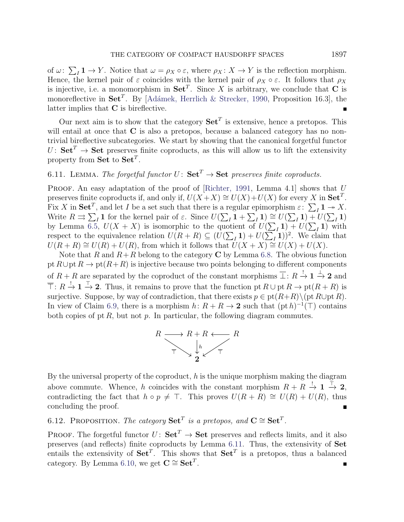of  $\omega: \sum_I \mathbf{1} \to Y$ . Notice that  $\omega = \rho_X \circ \varepsilon$ , where  $\rho_X: X \to Y$  is the reflection morphism. Hence, the kernel pair of  $\varepsilon$  coincides with the kernel pair of  $\rho_X \circ \varepsilon$ . It follows that  $\rho_X$ is injective, i.e. a monomorphism in  $\mathbf{Set}^T$ . Since X is arbitrary, we conclude that C is monoreflective in Set<sup>T</sup>. By [Adámek, Herrlich & Strecker, 1990, Proposition 16.3], the latter implies that C is bireflective.

Our next aim is to show that the category  $\mathbf{Set}^T$  is extensive, hence a pretopos. This will entail at once that C is also a pretopos, because a balanced category has no nontrivial bireflective subcategories. We start by showing that the canonical forgetful functor  $U: Set^{T} \rightarrow Set$  preserves finite coproducts, as this will allow us to lift the extensivity property from  $\mathbf{Set}$  to  $\mathbf{Set}^T$ .

# <span id="page-26-0"></span>6.11. LEMMA. The forgetful functor  $U: Set^T \rightarrow Set$  preserves finite coproducts.

PROOF. An easy adaptation of the proof of [\[Richter, 1991,](#page-34-1) Lemma 4.1] shows that  $U$ preserves finite coproducts if, and only if,  $U(X+X) \cong U(X)+U(X)$  for every X in  $\textbf{Set}^T$ . Fix X in Set<sup>T</sup>, and let I be a set such that there is a regular epimorphism  $\varepsilon$ :  $\sum_I \mathbf{1} \to X$ . Fix A in Set, and let T be a set such that there is a regular epimorphism  $\varepsilon$ .  $\sum_I \mathbf{1} \rightarrow \infty$ .<br>Write  $R \rightrightarrows \sum_I \mathbf{1}$  for the kernel pair of  $\varepsilon$ . Since  $U(\sum_I \mathbf{1} + \sum_I \mathbf{1}) \cong U(\sum_I \mathbf{1}) + U(\sum_I \mathbf{1})$ by Lemma [6.5,](#page-23-0)  $U(X + X)$  is isomorphic to the quotient of  $U(\sum_I \mathbf{1}) + U(\sum_I \mathbf{1})$  with respect to the equivalence relation  $U(R + R) \subseteq (U(\sum_I \mathbf{1}) + U(\sum_I \mathbf{1}))^2$ . We claim that  $U(R + R) \cong U(R) + U(R)$ , from which it follows that  $U(X + X) \cong U(X) + U(X)$ .

Note that R and  $R+R$  belong to the category C by Lemma [6.8.](#page-24-0) The obvious function pt  $R\cup \text{pt } R \to \text{pt}(R+R)$  is injective because two points belonging to different components of  $R + R$  are separated by the coproduct of the constant morphisms  $\overline{\perp}$ :  $R \stackrel{!}{\rightarrow} 1 \stackrel{!}{\rightarrow} 2$  and  $\overline{\top}$ :  $R \stackrel{!}{\to} \mathbf{1} \stackrel{\top}{\to} \mathbf{2}$ . Thus, it remains to prove that the function pt  $R \cup$  pt  $R \to$  pt $(R + R)$  is surjective. Suppose, by way of contradiction, that there exists  $p \in pt(R+R)\setminus (pt R\cup pt R)$ . In view of Claim [6.9,](#page-24-1) there is a morphism  $h: R + R \to \mathbf{2}$  such that  $(\text{pt } h)^{-1}(\top)$  contains both copies of pt  $R$ , but not  $p$ . In particular, the following diagram commutes.



By the universal property of the coproduct,  $h$  is the unique morphism making the diagram above commute. Whence, h coincides with the constant morphism  $R + R \stackrel{!}{\rightarrow} \mathbf{1} \stackrel{\top}{\rightarrow} \mathbf{2}$ , contradicting the fact that  $h \circ p \neq \top$ . This proves  $U(R + R) \cong U(R) + U(R)$ , thus concluding the proof.

<span id="page-26-1"></span>6.12. PROPOSITION. The category  $\mathbf{Set}^T$  is a pretopos, and  $\mathbf{C} \cong \mathbf{Set}^T$ .

PROOF. The forgetful functor  $U: Set^{T} \rightarrow Set$  preserves and reflects limits, and it also preserves (and reflects) finite coproducts by Lemma [6.11.](#page-26-0) Thus, the extensivity of Set entails the extensivity of  $\textbf{Set}^T$ . This shows that  $\textbf{Set}^T$  is a pretopos, thus a balanced category. By Lemma [6.10,](#page-25-0) we get  $\mathbf{C} \cong \mathbf{Set}^T$ .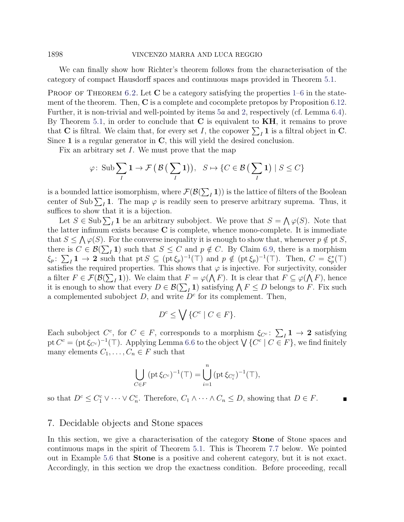1898 VINCENZO MARRA AND LUCA REGGIO

We can finally show how Richter's theorem follows from the characterisation of the category of compact Hausdorff spaces and continuous maps provided in Theorem [5.1.](#page-15-0)

PROOF OF THEOREM [6.2.](#page-21-0) Let  $C$  be a category satisfying the properties [1–](#page-21-2)[6](#page-22-0) in the statement of the theorem. Then,  $C$  is a complete and cocomplete pretopos by Proposition [6.12.](#page-26-1) Further, it is non-trivial and well-pointed by items [5](#page-22-1)a and [2,](#page-21-3) respectively (cf. Lemma [6.4\)](#page-22-2). By Theorem [5.1,](#page-15-0) in order to conclude that  $C$  is equivalent to  $KH$ , it remains to prove that **C** is filtral. We claim that, for every set I, the copower  $\sum_I \mathbf{1}$  is a filtral object in **C**. Since 1 is a regular generator in  $C$ , this will yield the desired conclusion.

Fix an arbitrary set I. We must prove that the map

$$
\varphi\colon \operatorname{Sub} \sum_{I} 1 \to \mathcal{F}\left(\mathcal{B}\left(\sum_{I} 1\right)\right), \ \ S \mapsto \{C \in \mathcal{B}\left(\sum_{I} 1\right) \mid S \le C\}
$$

is a bounded lattice isomorphism, where  $\mathcal{F}(\mathcal{B}(\sum_I \mathbf{1}))$  is the lattice of filters of the Boolean center of Sub  $\sum_{I}$  1. The map  $\varphi$  is readily seen to preserve arbitrary suprema. Thus, it suffices to show that it is a bijection.

Let  $S \in Sub \sum_I \mathbf{1}$  be an arbitrary subobject. We prove that  $S = \bigwedge \varphi(S)$ . Note that the latter infimum exists because  $C$  is complete, whence mono-complete. It is immediate that  $S \le \bigwedge \varphi(S)$ . For the converse inequality it is enough to show that, whenever  $p \notin \text{pt } S$ , there is  $C \in \mathcal{B}(\sum_I \mathbf{1})$  such that  $S \leq C$  and  $p \notin C$ . By Claim [6.9,](#page-24-1) there is a morphism  $\xi_p$ :  $\sum_I \mathbf{1} \to \mathbf{2}$  such that pt  $S \subseteq (\text{pt}\,\xi_p)^{-1}(\top)$  and  $p \notin (\text{pt}\,\xi_p)^{-1}(\top)$ . Then,  $C = \xi_p^*(\top)$ satisfies the required properties. This shows that  $\varphi$  is injective. For surjectivity, consider a filter  $F \in \mathcal{F}(\mathcal{B}(\sum_I \mathbf{1}))$ . We claim that  $F = \varphi(\bigwedge F)$ . It is clear that  $F \subseteq \varphi(\bigwedge F)$ , hence it is enough to show that every  $D \in \mathcal{B}(\sum_I \mathbf{1})$  satisfying  $\bigwedge F \leq D$  belongs to F. Fix such a complemented subobject  $D$ , and write  $D<sup>c</sup>$  for its complement. Then,

$$
D^c \le \bigvee \{C^c \mid C \in F\}.
$$

Each subobject  $C^c$ , for  $C \in F$ , corresponds to a morphism  $\xi_{C^c} \colon \sum_I \mathbf{1} \to \mathbf{2}$  satisfying pt  $C^c = (\text{pt } \xi_{C^c})^{-1}(\top)$ . Applying Lemma [6.6](#page-23-1) to the object  $\bigvee \{C^c \mid C \in F\}$ , we find finitely many elements  $C_1, \ldots, C_n \in F$  such that

$$
\bigcup_{C \in F} (\text{pt } \xi_{C^c})^{-1}(\top) = \bigcup_{i=1}^n (\text{pt } \xi_{C_i^c})^{-1}(\top),
$$

so that  $D^c \leq C_1^c \vee \cdots \vee C_n^c$ . Therefore,  $C_1 \wedge \cdots \wedge C_n \leq D$ , showing that  $D \in F$ .

### <span id="page-27-0"></span>7. Decidable objects and Stone spaces

In this section, we give a characterisation of the category Stone of Stone spaces and continuous maps in the spirit of Theorem [5.1.](#page-15-0) This is Theorem [7.7](#page-30-0) below. We pointed out in Example [5.6](#page-16-1) that Stone is a positive and coherent category, but it is not exact. Accordingly, in this section we drop the exactness condition. Before proceeding, recall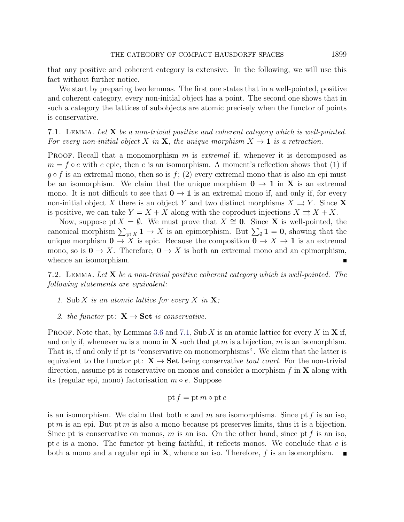that any positive and coherent category is extensive. In the following, we will use this fact without further notice.

We start by preparing two lemmas. The first one states that in a well-pointed, positive and coherent category, every non-initial object has a point. The second one shows that in such a category the lattices of subobjects are atomic precisely when the functor of points is conservative.

<span id="page-28-0"></span>7.1. LEMMA. Let  $X$  be a non-trivial positive and coherent category which is well-pointed. For every non-initial object X in X, the unique morphism  $X \to \mathbf{1}$  is a retraction.

**PROOF.** Recall that a monomorphism m is *extremal* if, whenever it is decomposed as  $m = f \circ e$  with e epic, then e is an isomorphism. A moment's reflection shows that (1) if  $g \circ f$  is an extremal mono, then so is  $f$ ; (2) every extremal mono that is also an epi must be an isomorphism. We claim that the unique morphism  $0 \rightarrow 1$  in **X** is an extremal mono. It is not difficult to see that  $0 \to 1$  is an extremal mono if, and only if, for every non-initial object X there is an object Y and two distinct morphisms  $X \rightrightarrows Y$ . Since X is positive, we can take  $Y = X + X$  along with the coproduct injections  $X \rightrightarrows X + X$ .

Now, suppose pt  $X = \emptyset$ . We must prove that  $X \cong 0$ . Since **X** is well-pointed, the canonical morphism  $\sum_{\text{pt } X} 1 \to X$  is an epimorphism. But  $\sum_{\emptyset} 1 = 0$ , showing that the unique morphism  $0 \to X$  is epic. Because the composition  $0 \to X \to 1$  is an extremal mono, so is  $\mathbf{0} \to X$ . Therefore,  $\mathbf{0} \to X$  is both an extremal mono and an epimorphism, whence an isomorphism.

<span id="page-28-1"></span>7.2. LEMMA. Let  $X$  be a non-trivial positive coherent category which is well-pointed. The following statements are equivalent:

- 1. Sub X is an atomic lattice for every X in  $X$ ;
- 2. the functor pt:  $X \rightarrow Set$  is conservative.

**PROOF.** Note that, by Lemmas [3.6](#page-7-0) and [7.1,](#page-28-0) Sub X is an atomic lattice for every X in X if, and only if, whenever m is a mono in **X** such that pt m is a bijection, m is an isomorphism. That is, if and only if pt is "conservative on monomorphisms". We claim that the latter is equivalent to the functor pt:  $X \rightarrow$  Set being conservative *tout court*. For the non-trivial direction, assume pt is conservative on monos and consider a morphism  $f$  in  $X$  along with its (regular epi, mono) factorisation  $m \circ e$ . Suppose

$$
\operatorname{pt} f = \operatorname{pt} m \circ \operatorname{pt} e
$$

is an isomorphism. We claim that both  $e$  and  $m$  are isomorphisms. Since pt  $f$  is an iso, pt m is an epi. But pt m is also a mono because pt preserves limits, thus it is a bijection. Since pt is conservative on monos, m is an iso. On the other hand, since pt f is an iso, pt e is a mono. The functor pt being faithful, it reflects monos. We conclude that e is both a mono and a regular epi in  $X$ , whence an iso. Therefore,  $f$  is an isomorphism.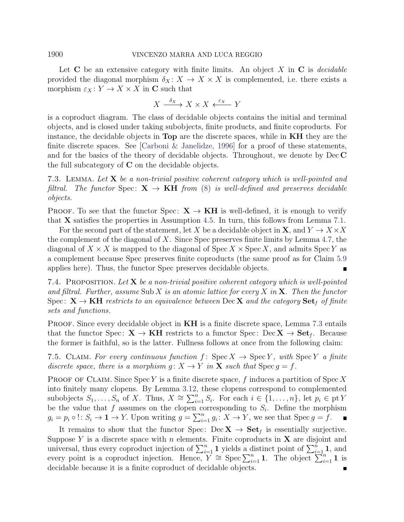#### 1900 VINCENZO MARRA AND LUCA REGGIO

Let  $C$  be an extensive category with finite limits. An object X in  $C$  is *decidable* provided the diagonal morphism  $\delta_X \colon X \to X \times X$  is complemented, i.e. there exists a morphism  $\varepsilon_X : Y \to X \times X$  in C such that

$$
X \xrightarrow{\delta_X} X \times X \xleftarrow{\varepsilon_X} Y
$$

is a coproduct diagram. The class of decidable objects contains the initial and terminal objects, and is closed under taking subobjects, finite products, and finite coproducts. For instance, the decidable objects in Top are the discrete spaces, while in KH they are the finite discrete spaces. See [\[Carboni & Janelidze, 1996\]](#page-33-13) for a proof of these statements, and for the basics of the theory of decidable objects. Throughout, we denote by Dec C the full subcategory of  $C$  on the decidable objects.

<span id="page-29-0"></span>7.3. LEMMA. Let  $X$  be a non-trivial positive coherent category which is well-pointed and filtral. The functor Spec:  $X \rightarrow KH$  from [\(8\)](#page-15-2) is well-defined and preserves decidable objects.

PROOF. To see that the functor Spec:  $X \rightarrow KH$  is well-defined, it is enough to verify that  $X$  satisfies the properties in Assumption [4.5.](#page-14-2) In turn, this follows from Lemma [7.1.](#page-28-0)

For the second part of the statement, let X be a decidable object in  $X$ , and  $Y \to X \times X$ the complement of the diagonal of  $X$ . Since Spec preserves finite limits by Lemma [4.7,](#page-15-3) the diagonal of  $X \times X$  is mapped to the diagonal of Spec  $X \times$  Spec X, and admits Spec Y as a complement because Spec preserves finite coproducts (the same proof as for Claim [5.9](#page-17-1) applies here). Thus, the functor Spec preserves decidable objects.

<span id="page-29-1"></span>7.4. PROPOSITION. Let  $X$  be a non-trivial positive coherent category which is well-pointed and filtral. Further, assume Sub X is an atomic lattice for every X in  $X$ . Then the functor Spec:  $X \rightarrow KH$  restricts to an equivalence between Dec X and the category  $Set_f$  of finite sets and functions.

PROOF. Since every decidable object in **KH** is a finite discrete space, Lemma [7.3](#page-29-0) entails that the functor Spec:  $X \to KH$  restricts to a functor Spec: Dec  $X \to Set_f$ . Because the former is faithful, so is the latter. Fullness follows at once from the following claim:

<span id="page-29-2"></span>7.5. CLAIM. For every continuous function f: Spec  $X \to \text{Spec } Y$ , with Spec Y a finite discrete space, there is a morphism  $g: X \to Y$  in **X** such that  $\text{Spec } g = f$ .

PROOF OF CLAIM. Since  $Spec Y$  is a finite discrete space, f induces a partition of  $Spec X$ into finitely many clopens. By Lemma [3.12,](#page-11-1) these clopens correspond to complemented subobjects  $S_1, \ldots, S_n$  of X. Thus,  $X \cong \sum_{i=1}^n S_i$ . For each  $i \in \{1, \ldots, n\}$ , let  $p_i \in \text{pt } Y$ be the value that f assumes on the clopen corresponding to  $S_i$ . Define the morphism  $g_i = p_i \circ !: S_i \to \mathbf{1} \to Y$ . Upon writing  $g = \sum_{i=1}^n g_i : X \to Y$ , we see that  $\text{Spec } g = f$ .  $\blacksquare$ 

It remains to show that the functor Spec: Dec  $X \to \mathbf{Set}_f$  is essentially surjective. Suppose Y is a discrete space with n elements. Finite coproducts in  $X$  are disjoint and universal, thus every coproduct injection of  $\sum_{i=1}^{n} 1$  yields a distinct point of  $\sum_{i=1}^{n} 1$ , and every point is a coproduct injection. Hence,  $Y \cong \operatorname{Spec} \sum_{i=1}^{n} 1$ . The object  $\sum_{i=1}^{n} 1$  is decidable because it is a finite coproduct of decidable objects.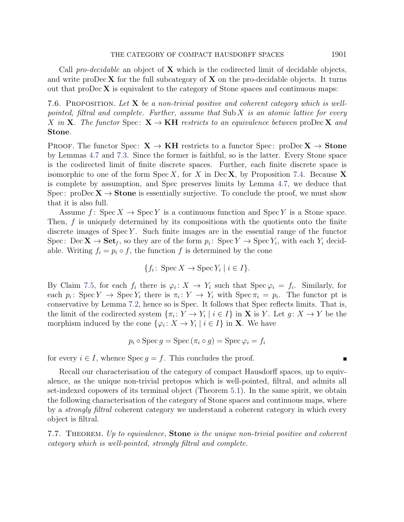Call pro-decidable an object of  $X$  which is the codirected limit of decidable objects, and write pro $\text{Dec } X$  for the full subcategory of  $X$  on the pro-decidable objects. It turns out that pro $\text{Dec } X$  is equivalent to the category of Stone spaces and continuous maps:

<span id="page-30-1"></span>7.6. PROPOSITION. Let  $X$  be a non-trivial positive and coherent category which is wellpointed, filtral and complete. Further, assume that  $\text{Sub } X$  is an atomic lattice for every X in X. The functor Spec:  $X \rightarrow KH$  restricts to an equivalence between proDec X and Stone.

PROOF. The functor Spec:  $X \rightarrow KH$  restricts to a functor Spec: proDec  $X \rightarrow Stone$ by Lemmas [4.7](#page-15-3) and [7.3.](#page-29-0) Since the former is faithful, so is the latter. Every Stone space is the codirected limit of finite discrete spaces. Further, each finite discrete space is isomorphic to one of the form  $Spec X$ , for X in Dec X, by Proposition [7.4.](#page-29-1) Because X is complete by assumption, and Spec preserves limits by Lemma [4.7,](#page-15-3) we deduce that Spec: proDec  $X \to$  Stone is essentially surjective. To conclude the proof, we must show that it is also full.

Assume f: Spec  $X \to \text{Spec } Y$  is a continuous function and Spec Y is a Stone space. Then, f is uniquely determined by its compositions with the quotients onto the finite discrete images of  $Spec Y$ . Such finite images are in the essential range of the functor Spec: Dec  $\mathbf{X} \to \mathbf{Set}_f$ , so they are of the form  $p_i$ : Spec  $Y \to \text{Spec } Y_i$ , with each  $Y_i$  decidable. Writing  $f_i = p_i \circ f$ , the function f is determined by the cone

$$
\{f_i \colon \operatorname{Spec} X \to \operatorname{Spec} Y_i \mid i \in I\}.
$$

By Claim [7.5,](#page-29-2) for each  $f_i$  there is  $\varphi_i: X \to Y_i$  such that  $Spec \varphi_i = f_i$ . Similarly, for each  $p_i: \text{Spec } Y \to \text{Spec } Y_i$  there is  $\pi_i: Y \to Y_i$  with  $\text{Spec } \pi_i = p_i$ . The functor pt is conservative by Lemma [7.2,](#page-28-1) hence so is Spec. It follows that Spec reflects limits. That is, the limit of the codirected system  $\{\pi_i: Y \to Y_i \mid i \in I\}$  in **X** is Y. Let  $g: X \to Y$  be the morphism induced by the cone  $\{\varphi_i: X \to Y_i \mid i \in I\}$  in **X**. We have

$$
p_i \circ \operatorname{Spec} g = \operatorname{Spec} (\pi_i \circ g) = \operatorname{Spec} \varphi_i = f_i
$$

for every  $i \in I$ , whence  $\text{Spec } g = f$ . This concludes the proof.

Recall our characterisation of the category of compact Hausdorff spaces, up to equivalence, as the unique non-trivial pretopos which is well-pointed, filtral, and admits all set-indexed copowers of its terminal object (Theorem [5.1\)](#page-15-0). In the same spirit, we obtain the following characterisation of the category of Stone spaces and continuous maps, where by a strongly filtral coherent category we understand a coherent category in which every object is filtral.

<span id="page-30-0"></span>7.7. THEOREM. Up to equivalence, **Stone** is the unique non-trivial positive and coherent category which is well-pointed, strongly filtral and complete.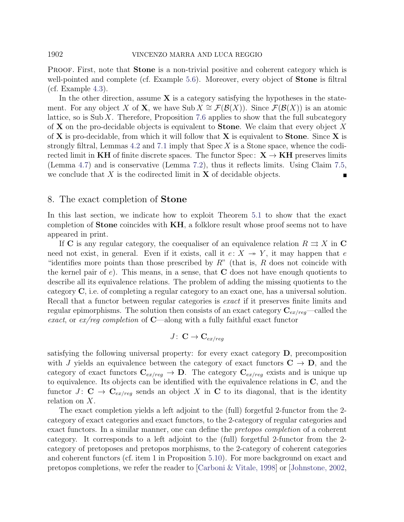PROOF. First, note that **Stone** is a non-trivial positive and coherent category which is well-pointed and complete (cf. Example [5.6\)](#page-16-1). Moreover, every object of **Stone** is filtral (cf. Example [4.3\)](#page-13-0).

In the other direction, assume  $\bf{X}$  is a category satisfying the hypotheses in the statement. For any object X of **X**, we have Sub  $X \cong \mathcal{F}(\mathcal{B}(X))$ . Since  $\mathcal{F}(\mathcal{B}(X))$  is an atomic lattice, so is  $\text{Sub } X$ . Therefore, Proposition [7.6](#page-30-1) applies to show that the full subcategory of **X** on the pro-decidable objects is equivalent to **Stone**. We claim that every object X of  $X$  is pro-decidable, from which it will follow that  $X$  is equivalent to **Stone**. Since  $X$  is strongly filtral, Lemmas [4.2](#page-12-0) and [7.1](#page-28-0) imply that  $Spec X$  is a Stone space, whence the codirected limit in KH of finite discrete spaces. The functor Spec:  $X \rightarrow KH$  preserves limits (Lemma [4.7\)](#page-15-3) and is conservative (Lemma [7.2\)](#page-28-1), thus it reflects limits. Using Claim [7.5,](#page-29-2) we conclude that  $X$  is the codirected limit in  $X$  of decidable objects.

## <span id="page-31-0"></span>8. The exact completion of Stone

In this last section, we indicate how to exploit Theorem [5.1](#page-15-0) to show that the exact completion of **Stone** coincides with **KH**, a folklore result whose proof seems not to have appeared in print.

If C is any regular category, the coequaliser of an equivalence relation  $R \rightrightarrows X$  in C need not exist, in general. Even if it exists, call it  $e: X \rightarrow Y$ , it may happen that e "identifies more points than those prescribed by  $R$ " (that is, R does not coincide with the kernel pair of e). This means, in a sense, that  $C$  does not have enough quotients to describe all its equivalence relations. The problem of adding the missing quotients to the category C, i.e. of completing a regular category to an exact one, has a universal solution. Recall that a functor between regular categories is exact if it preserves finite limits and regular epimorphisms. The solution then consists of an exact category  $C_{ex/reg}$ —called the exact, or  $ex/req$  completion of **C**—along with a fully faithful exact functor

$$
J\colon\thinspace {\bf C}\to {\bf C}_{ex/reg}
$$

satisfying the following universal property: for every exact category D, precomposition with J yields an equivalence between the category of exact functors  $C \rightarrow D$ , and the category of exact functors  $C_{ex/req} \rightarrow D$ . The category  $C_{ex/req}$  exists and is unique up to equivalence. Its objects can be identified with the equivalence relations in C, and the functor  $J: \mathbf{C} \to \mathbf{C}_{ex/req}$  sends an object X in C to its diagonal, that is the identity relation on X.

The exact completion yields a left adjoint to the (full) forgetful 2-functor from the 2 category of exact categories and exact functors, to the 2-category of regular categories and exact functors. In a similar manner, one can define the *pretopos completion* of a coherent category. It corresponds to a left adjoint to the (full) forgetful 2-functor from the 2 category of pretoposes and pretopos morphisms, to the 2-category of coherent categories and coherent functors (cf. item 1 in Proposition [5.10\)](#page-18-0). For more background on exact and pretopos completions, we refer the reader to [\[Carboni & Vitale, 1998\]](#page-33-14) or [\[Johnstone, 2002,](#page-34-8)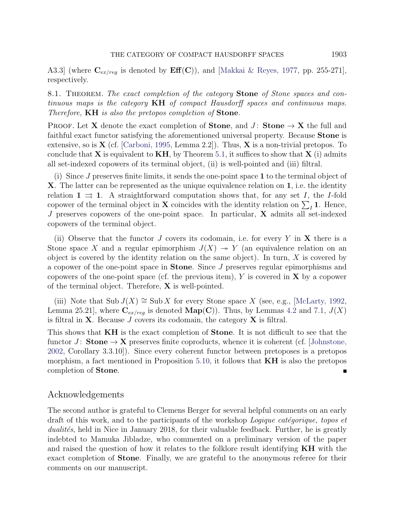A3.3] (where  $\mathbf{C}_{ex/reg}$  is denoted by  $\mathbf{Eff}(\mathbf{C})$ ), and [\[Makkai & Reyes, 1977,](#page-34-9) pp. 255-271], respectively.

<span id="page-32-0"></span>8.1. THEOREM. The exact completion of the category **Stone** of Stone spaces and continuous maps is the category KH of compact Hausdorff spaces and continuous maps. Therefore, **KH** is also the pretopos completion of **Stone**.

PROOF. Let X denote the exact completion of **Stone**, and  $J:$  **Stone**  $\rightarrow$  X the full and faithful exact functor satisfying the aforementioned universal property. Because **Stone** is extensive, so is  $X$  (cf. [\[Carboni, 1995,](#page-33-15) Lemma 2.2]). Thus,  $X$  is a non-trivial pretopos. To conclude that  $X$  is equivalent to  $KH$ , by Theorem [5.1,](#page-15-0) it suffices to show that  $X$  (i) admits all set-indexed copowers of its terminal object, (ii) is well-pointed and (iii) filtral.

(i) Since J preserves finite limits, it sends the one-point space 1 to the terminal object of X. The latter can be represented as the unique equivalence relation on 1, i.e. the identity relation  $1 \implies 1$ . A straightforward computation shows that, for any set I, the I-fold copower of the terminal object in **X** coincides with the identity relation on  $\sum_{I} 1$ . Hence, J preserves copowers of the one-point space. In particular, X admits all set-indexed copowers of the terminal object.

(ii) Observe that the functor  $J$  covers its codomain, i.e. for every  $Y$  in  $X$  there is a Stone space X and a regular epimorphism  $J(X) \rightarrow Y$  (an equivalence relation on an object is covered by the identity relation on the same object). In turn,  $X$  is covered by a copower of the one-point space in Stone. Since J preserves regular epimorphisms and copowers of the one-point space (cf. the previous item),  $Y$  is covered in  $X$  by a copower of the terminal object. Therefore, X is well-pointed.

(iii) Note that  $\text{Sub } J(X) \cong \text{Sub } X$  for every Stone space X (see, e.g., [\[McLarty, 1992,](#page-34-13) Lemma 25.21], where  $\mathbf{C}_{ex/reg}$  is denoted  $\mathbf{Map}(\mathbf{C})$ ). Thus, by Lemmas [4.2](#page-12-0) and [7.1,](#page-28-0)  $J(X)$ is filtral in **X**. Because  $J$  covers its codomain, the category **X** is filtral.

This shows that KH is the exact completion of Stone. It is not difficult to see that the functor J: **Stone**  $\rightarrow$  **X** preserves finite coproducts, whence it is coherent (cf. [\[Johnstone,](#page-34-8) [2002,](#page-34-8) Corollary 3.3.10]). Since every coherent functor between pretoposes is a pretopos morphism, a fact mentioned in Proposition [5.10,](#page-18-0) it follows that  $KH$  is also the pretopos completion of Stone. Г

## Acknowledgements

The second author is grateful to Clemens Berger for several helpful comments on an early draft of this work, and to the participants of the workshop  $Logique$  categorique, topos et dualités, held in Nice in January 2018, for their valuable feedback. Further, he is greatly indebted to Mamuka Jibladze, who commented on a preliminary version of the paper and raised the question of how it relates to the folklore result identifying KH with the exact completion of Stone. Finally, we are grateful to the anonymous referee for their comments on our manuscript.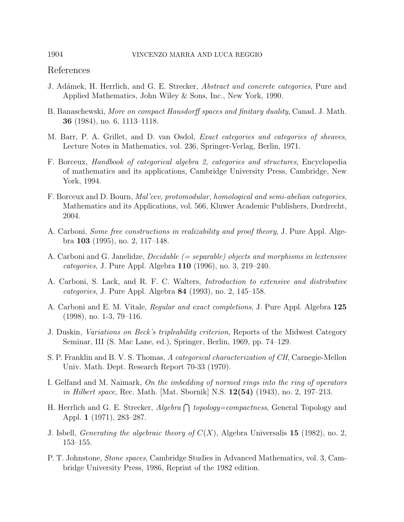## <span id="page-33-0"></span>References

- <span id="page-33-12"></span>J. Adámek, H. Herrlich, and G. E. Strecker, *Abstract and concrete categories*, Pure and Applied Mathematics, John Wiley & Sons, Inc., New York, 1990.
- <span id="page-33-6"></span>B. Banaschewski, More on compact Hausdorff spaces and finitary duality, Canad. J. Math. 36 (1984), no. 6, 1113–1118.
- <span id="page-33-8"></span>M. Barr, P. A. Grillet, and D. van Osdol, Exact categories and categories of sheaves, Lecture Notes in Mathematics, vol. 236, Springer-Verlag, Berlin, 1971.
- <span id="page-33-9"></span>F. Borceux, Handbook of categorical algebra 2, categories and structures, Encyclopedia of mathematics and its applications, Cambridge University Press, Cambridge, New York, 1994.
- <span id="page-33-11"></span>F. Borceux and D. Bourn, Mal'cev, protomodular, homological and semi-abelian categories, Mathematics and its Applications, vol. 566, Kluwer Academic Publishers, Dordrecht, 2004.
- <span id="page-33-15"></span>A. Carboni, Some free constructions in realizability and proof theory, J. Pure Appl. Algebra 103 (1995), no. 2, 117–148.
- <span id="page-33-13"></span>A. Carboni and G. Janelidze, *Decidable*  $(= separable)$  *objects and morphisms in lextensive* categories, J. Pure Appl. Algebra 110 (1996), no. 3, 219–240.
- <span id="page-33-10"></span>A. Carboni, S. Lack, and R. F. C. Walters, Introduction to extensive and distributive categories, J. Pure Appl. Algebra 84 (1993), no. 2, 145–158.
- <span id="page-33-14"></span>A. Carboni and E. M. Vitale, Regular and exact completions, J. Pure Appl. Algebra 125 (1998), no. 1-3, 79–116.
- <span id="page-33-4"></span>J. Duskin, Variations on Beck's tripleability criterion, Reports of the Midwest Category Seminar, III (S. Mac Lane, ed.), Springer, Berlin, 1969, pp. 74–129.
- <span id="page-33-1"></span>S. P. Franklin and B. V. S. Thomas, A categorical characterization of CH, Carnegie-Mellon Univ. Math. Dept. Research Report 70-33 (1970).
- <span id="page-33-3"></span>I. Gelfand and M. Naimark, On the imbedding of normed rings into the ring of operators in Hilbert space, Rec. Math. [Mat. Sbornik] N.S.  $12(54)$  (1943), no. 2, 197–213.
- <span id="page-33-2"></span>H. Herrlich and G. E. Strecker,  $Algebra \bigcap topology=compactness$ , General Topology and Appl. 1 (1971), 283–287.
- <span id="page-33-5"></span>J. Isbell, *Generating the algebraic theory of*  $C(X)$ , Algebra Universalis 15 (1982), no. 2, 153–155.
- <span id="page-33-7"></span>P. T. Johnstone, Stone spaces, Cambridge Studies in Advanced Mathematics, vol. 3, Cambridge University Press, 1986, Reprint of the 1982 edition.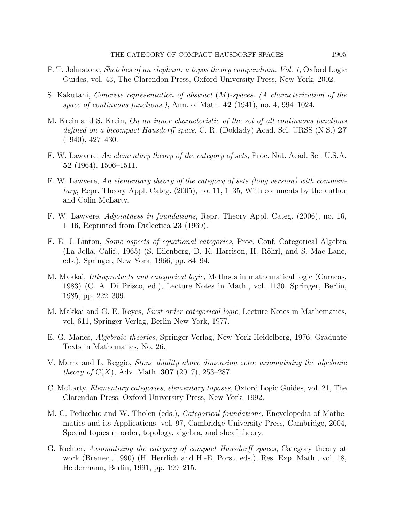- <span id="page-34-8"></span>P. T. Johnstone, Sketches of an elephant: a topos theory compendium. Vol. 1, Oxford Logic Guides, vol. 43, The Clarendon Press, Oxford University Press, New York, 2002.
- <span id="page-34-2"></span>S. Kakutani, Concrete representation of abstract (M)-spaces. (A characterization of the space of continuous functions.), Ann. of Math.  $42$  (1941), no. 4, 994–1024.
- <span id="page-34-3"></span>M. Krein and S. Krein, On an inner characteristic of the set of all continuous functions defined on a bicompact Hausdorff space, C. R. (Doklady) Acad. Sci. URSS (N.S.) 27 (1940), 427–430.
- <span id="page-34-6"></span>F. W. Lawvere, An elementary theory of the category of sets, Proc. Nat. Acad. Sci. U.S.A. 52 (1964), 1506–1511.
- <span id="page-34-7"></span>F. W. Lawvere, An elementary theory of the category of sets (long version) with commentary, Repr. Theory Appl. Categ. (2005), no. 11, 1–35, With comments by the author and Colin McLarty.
- <span id="page-34-11"></span>F. W. Lawvere, Adjointness in foundations, Repr. Theory Appl. Categ. (2006), no. 16, 1–16, Reprinted from Dialectica 23 (1969).
- <span id="page-34-0"></span>F. E. J. Linton, Some aspects of equational categories, Proc. Conf. Categorical Algebra (La Jolla, Calif., 1965) (S. Eilenberg, D. K. Harrison, H. Röhrl, and S. Mac Lane, eds.), Springer, New York, 1966, pp. 84–94.
- <span id="page-34-12"></span>M. Makkai, Ultraproducts and categorical logic, Methods in mathematical logic (Caracas, 1983) (C. A. Di Prisco, ed.), Lecture Notes in Math., vol. 1130, Springer, Berlin, 1985, pp. 222–309.
- <span id="page-34-9"></span>M. Makkai and G. E. Reyes, First order categorical logic, Lecture Notes in Mathematics, vol. 611, Springer-Verlag, Berlin-New York, 1977.
- <span id="page-34-5"></span>E. G. Manes, Algebraic theories, Springer-Verlag, New York-Heidelberg, 1976, Graduate Texts in Mathematics, No. 26.
- <span id="page-34-4"></span>V. Marra and L. Reggio, Stone duality above dimension zero: axiomatising the algebraic *theory of*  $C(X)$ , Adv. Math. **307** (2017), 253–287.
- <span id="page-34-13"></span>C. McLarty, Elementary categories, elementary toposes, Oxford Logic Guides, vol. 21, The Clarendon Press, Oxford University Press, New York, 1992.
- <span id="page-34-10"></span>M. C. Pedicchio and W. Tholen (eds.), Categorical foundations, Encyclopedia of Mathematics and its Applications, vol. 97, Cambridge University Press, Cambridge, 2004, Special topics in order, topology, algebra, and sheaf theory.
- <span id="page-34-1"></span>G. Richter, Axiomatizing the category of compact Hausdorff spaces, Category theory at work (Bremen, 1990) (H. Herrlich and H.-E. Porst, eds.), Res. Exp. Math., vol. 18, Heldermann, Berlin, 1991, pp. 199–215.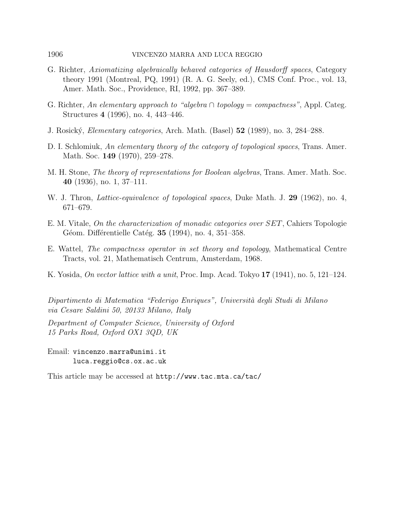- <span id="page-35-2"></span>G. Richter, Axiomatizing algebraically behaved categories of Hausdorff spaces, Category theory 1991 (Montreal, PQ, 1991) (R. A. G. Seely, ed.), CMS Conf. Proc., vol. 13, Amer. Math. Soc., Providence, RI, 1992, pp. 367–389.
- <span id="page-35-1"></span>G. Richter, An elementary approach to "algebra  $\cap$  topology = compactness", Appl. Categ. Structures 4 (1996), no. 4, 443–446.
- <span id="page-35-4"></span>J. Rosick´y, Elementary categories, Arch. Math. (Basel) 52 (1989), no. 3, 284–288.
- <span id="page-35-5"></span>D. I. Schlomiuk, An elementary theory of the category of topological spaces, Trans. Amer. Math. Soc. **149** (1970), 259–278.
- <span id="page-35-6"></span>M. H. Stone, The theory of representations for Boolean algebras, Trans. Amer. Math. Soc. 40 (1936), no. 1, 37–111.
- <span id="page-35-7"></span>W. J. Thron, *Lattice-equivalence of topological spaces*, Duke Math. J. 29 (1962), no. 4, 671–679.
- <span id="page-35-8"></span>E. M. Vitale, On the characterization of monadic categories over SET, Cahiers Topologie Géom. Différentielle Catég. **35** (1994), no. 4, 351–358.
- <span id="page-35-0"></span>E. Wattel, The compactness operator in set theory and topology, Mathematical Centre Tracts, vol. 21, Mathematisch Centrum, Amsterdam, 1968.
- <span id="page-35-3"></span>K. Yosida, On vector lattice with a unit, Proc. Imp. Acad. Tokyo 17 (1941), no. 5, 121–124.

Dipartimento di Matematica "Federigo Enriques", Università degli Studi di Milano via Cesare Saldini 50, 20133 Milano, Italy

Department of Computer Science, University of Oxford 15 Parks Road, Oxford OX1 3QD, UK

Email: vincenzo.marra@unimi.it luca.reggio@cs.ox.ac.uk

This article may be accessed at http://www.tac.mta.ca/tac/